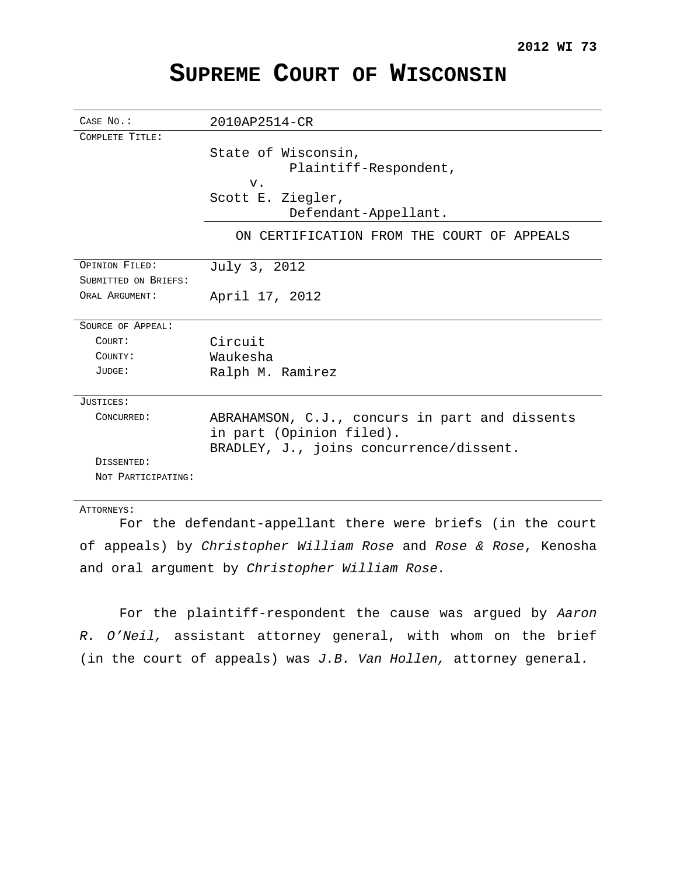# **SUPREME COURT OF WISCONSIN**

| CASE No.:            | 2010AP2514-CR                                  |
|----------------------|------------------------------------------------|
| COMPLETE TITLE:      |                                                |
|                      | State of Wisconsin,                            |
|                      | Plaintiff-Respondent,                          |
|                      | $V$ .                                          |
|                      | Scott E. Ziegler,                              |
|                      | Defendant-Appellant.                           |
|                      | ON CERTIFICATION FROM THE COURT OF APPEALS     |
|                      |                                                |
| OPINION FILED:       | July 3, 2012                                   |
| SUBMITTED ON BRIEFS: |                                                |
| ORAL ARGUMENT:       | April 17, 2012                                 |
|                      |                                                |
| SOURCE OF APPEAL:    |                                                |
| COURT:               | Circuit                                        |
| COUNTY:              | Waukesha                                       |
| JUDGE:               | Ralph M. Ramirez                               |
|                      |                                                |
| JUSTICES:            |                                                |
| CONCURRED:           | ABRAHAMSON, C.J., concurs in part and dissents |
|                      | in part (Opinion filed).                       |
|                      | BRADLEY, J., joins concurrence/dissent.        |
| DISSENTED:           |                                                |
| NOT PARTICIPATING:   |                                                |
|                      |                                                |

## ATTORNEYS:

For the defendant-appellant there were briefs (in the court of appeals) by Christopher William Rose and Rose & Rose, Kenosha and oral argument by Christopher William Rose.

For the plaintiff-respondent the cause was argued by Aaron R. O'Neil, assistant attorney general, with whom on the brief (in the court of appeals) was J.B. Van Hollen, attorney general.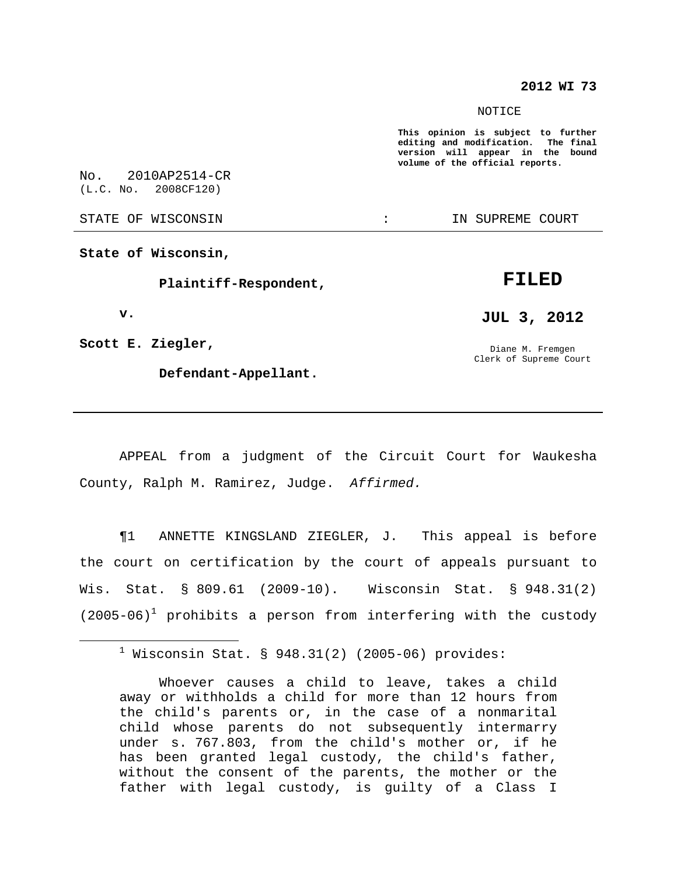## **2012 WI 73**

#### NOTICE

**This opinion is subject to further editing and modification. The final version will appear in the bound volume of the official reports.**

No. 2010AP2514-CR (L.C. No. 2008CF120)

STATE OF WISCONSIN THE RESERVE STATE OF WISCONSIN STATE OF THE SUPREME COURT

**State of Wisconsin,**

**Plaintiff-Respondent,**

**v.**

**Scott E. Ziegler,**

**Defendant-Appellant.**

# **FILED**

**JUL 3, 2012**

Diane M. Fremgen Clerk of Supreme Court

APPEAL from a judgment of the Circuit Court for Waukesha County, Ralph M. Ramirez, Judge. Affirmed.

¶1 ANNETTE KINGSLAND ZIEGLER, J. This appeal is before the court on certification by the court of appeals pursuant to Wis. Stat. § 809.61 (2009-10). Wisconsin Stat. § 948.31(2)  $(2005-06)^1$  prohibits a person from interfering with the custody

 $1$  Wisconsin Stat. § 948.31(2) (2005-06) provides:

Whoever causes a child to leave, takes a child away or withholds a child for more than 12 hours from the child's parents or, in the case of a nonmarital child whose parents do not subsequently intermarry under s. 767.803, from the child's mother or, if he has been granted legal custody, the child's father, without the consent of the parents, the mother or the father with legal custody, is guilty of a Class I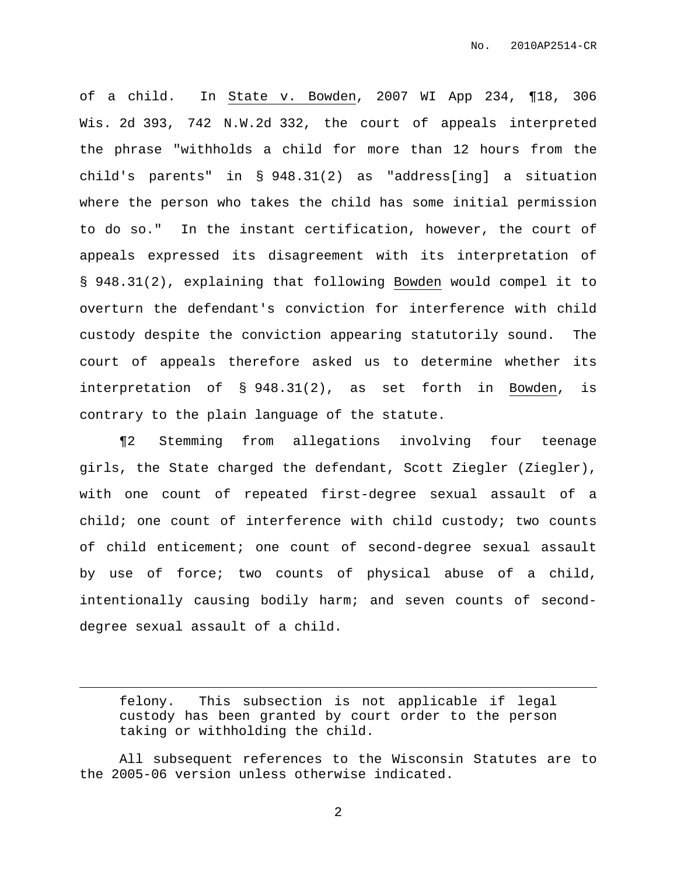of a child. In State v. Bowden, 2007 WI App 234, ¶18, 306 Wis. 2d 393, 742 N.W.2d 332, the court of appeals interpreted the phrase "withholds a child for more than 12 hours from the child's parents" in § 948.31(2) as "address[ing] a situation where the person who takes the child has some initial permission to do so." In the instant certification, however, the court of appeals expressed its disagreement with its interpretation of § 948.31(2), explaining that following Bowden would compel it to overturn the defendant's conviction for interference with child custody despite the conviction appearing statutorily sound. The court of appeals therefore asked us to determine whether its interpretation of § 948.31(2), as set forth in Bowden, is contrary to the plain language of the statute.

¶2 Stemming from allegations involving four teenage girls, the State charged the defendant, Scott Ziegler (Ziegler), with one count of repeated first-degree sexual assault of a child; one count of interference with child custody; two counts of child enticement; one count of second-degree sexual assault by use of force; two counts of physical abuse of a child, intentionally causing bodily harm; and seven counts of seconddegree sexual assault of a child.

felony. This subsection is not applicable if legal custody has been granted by court order to the person taking or withholding the child.

All subsequent references to the Wisconsin Statutes are to the 2005-06 version unless otherwise indicated.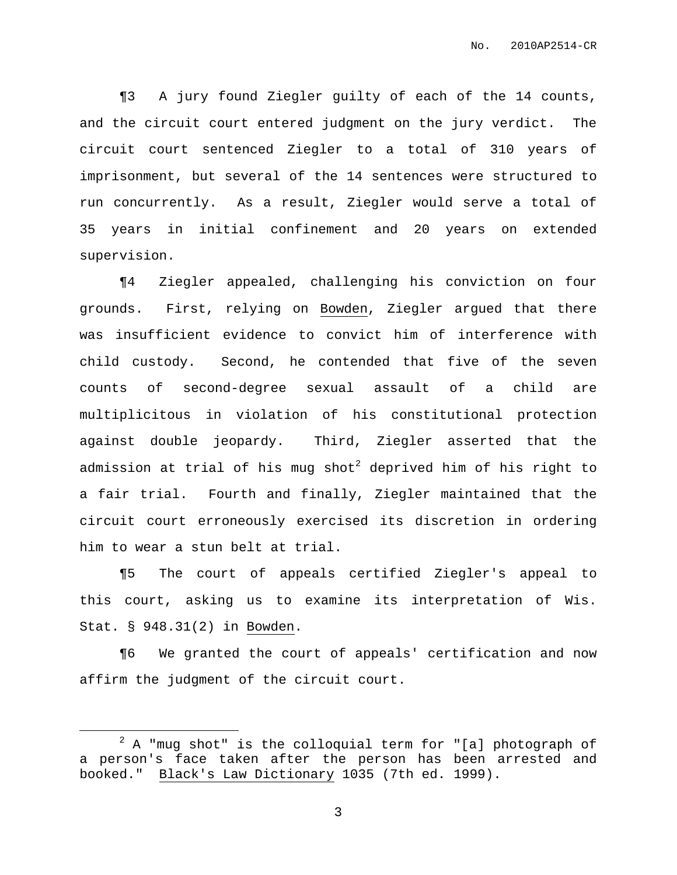¶3 A jury found Ziegler guilty of each of the 14 counts, and the circuit court entered judgment on the jury verdict. The circuit court sentenced Ziegler to a total of 310 years of imprisonment, but several of the 14 sentences were structured to run concurrently. As a result, Ziegler would serve a total of 35 years in initial confinement and 20 years on extended supervision.

¶4 Ziegler appealed, challenging his conviction on four grounds. First, relying on Bowden, Ziegler argued that there was insufficient evidence to convict him of interference with child custody. Second, he contended that five of the seven counts of second-degree sexual assault of a child are multiplicitous in violation of his constitutional protection against double jeopardy. Third, Ziegler asserted that the admission at trial of his mug shot<sup>2</sup> deprived him of his right to a fair trial. Fourth and finally, Ziegler maintained that the circuit court erroneously exercised its discretion in ordering him to wear a stun belt at trial.

¶5 The court of appeals certified Ziegler's appeal to this court, asking us to examine its interpretation of Wis. Stat. § 948.31(2) in Bowden.

¶6 We granted the court of appeals' certification and now affirm the judgment of the circuit court.

 $2$  A "mug shot" is the colloquial term for "[a] photograph of a person's face taken after the person has been arrested and booked." Black's Law Dictionary 1035 (7th ed. 1999).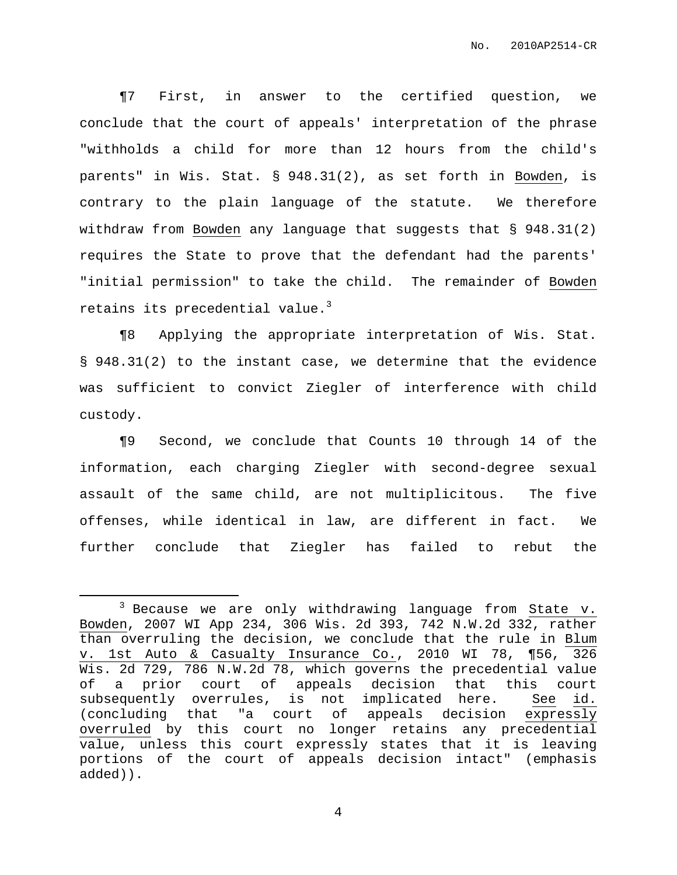¶7 First, in answer to the certified question, we conclude that the court of appeals' interpretation of the phrase "withholds a child for more than 12 hours from the child's parents" in Wis. Stat. § 948.31(2), as set forth in Bowden, is contrary to the plain language of the statute. We therefore withdraw from Bowden any language that suggests that § 948.31(2) requires the State to prove that the defendant had the parents' "initial permission" to take the child. The remainder of Bowden retains its precedential value. 3

¶8 Applying the appropriate interpretation of Wis. Stat. § 948.31(2) to the instant case, we determine that the evidence was sufficient to convict Ziegler of interference with child custody.

¶9 Second, we conclude that Counts 10 through 14 of the information, each charging Ziegler with second-degree sexual assault of the same child, are not multiplicitous. The five offenses, while identical in law, are different in fact. We further conclude that Ziegler has failed to rebut the

<sup>&</sup>lt;sup>3</sup> Because we are only withdrawing language from State v. Bowden, 2007 WI App 234, 306 Wis. 2d 393, 742 N.W.2d 332, rather than overruling the decision, we conclude that the rule in Blum v. 1st Auto & Casualty Insurance Co., 2010 WI 78, ¶56, 326 Wis. 2d 729, 786 N.W.2d 78, which governs the precedential value of a prior court of appeals decision that this court subsequently overrules, is not implicated here. See id. (concluding that "a court of appeals decision expressly overruled by this court no longer retains any precedential value, unless this court expressly states that it is leaving portions of the court of appeals decision intact" (emphasis added)).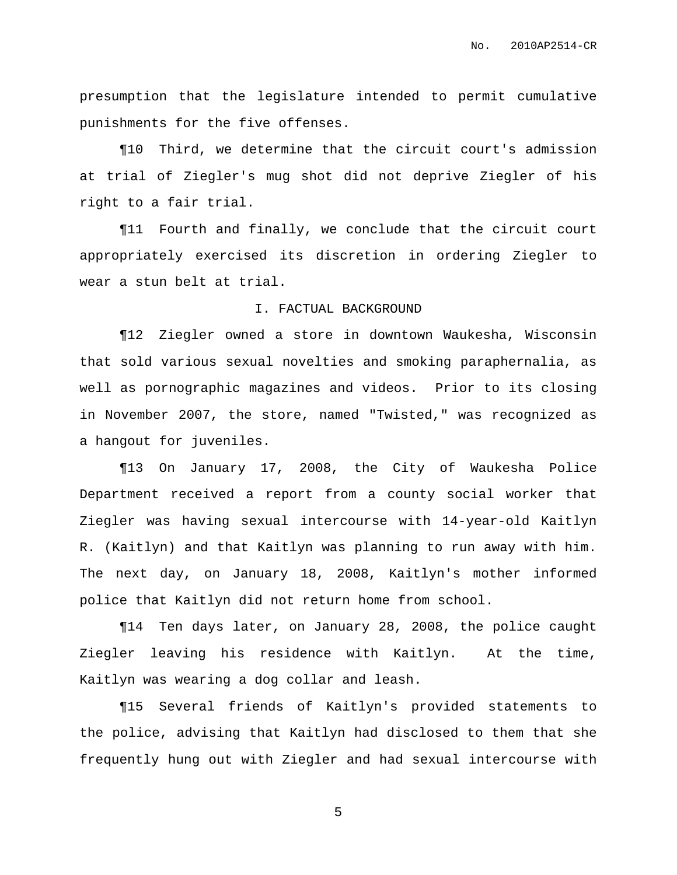presumption that the legislature intended to permit cumulative punishments for the five offenses.

¶10 Third, we determine that the circuit court's admission at trial of Ziegler's mug shot did not deprive Ziegler of his right to a fair trial.

¶11 Fourth and finally, we conclude that the circuit court appropriately exercised its discretion in ordering Ziegler to wear a stun belt at trial.

## I. FACTUAL BACKGROUND

¶12 Ziegler owned a store in downtown Waukesha, Wisconsin that sold various sexual novelties and smoking paraphernalia, as well as pornographic magazines and videos. Prior to its closing in November 2007, the store, named "Twisted," was recognized as a hangout for juveniles.

¶13 On January 17, 2008, the City of Waukesha Police Department received a report from a county social worker that Ziegler was having sexual intercourse with 14-year-old Kaitlyn R. (Kaitlyn) and that Kaitlyn was planning to run away with him. The next day, on January 18, 2008, Kaitlyn's mother informed police that Kaitlyn did not return home from school.

¶14 Ten days later, on January 28, 2008, the police caught Ziegler leaving his residence with Kaitlyn. At the time, Kaitlyn was wearing a dog collar and leash.

¶15 Several friends of Kaitlyn's provided statements to the police, advising that Kaitlyn had disclosed to them that she frequently hung out with Ziegler and had sexual intercourse with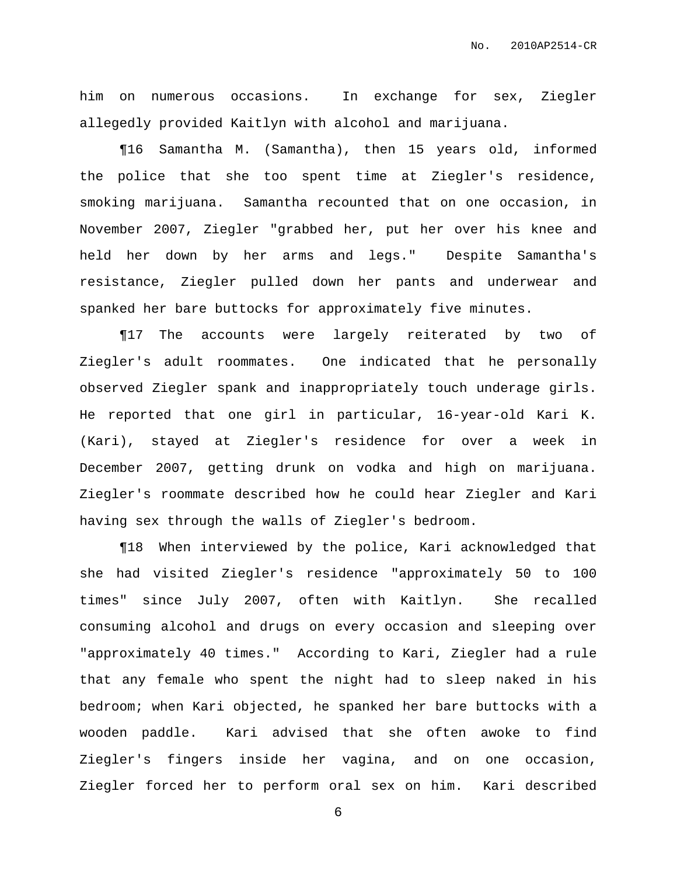him on numerous occasions. In exchange for sex, Ziegler allegedly provided Kaitlyn with alcohol and marijuana.

¶16 Samantha M. (Samantha), then 15 years old, informed the police that she too spent time at Ziegler's residence, smoking marijuana. Samantha recounted that on one occasion, in November 2007, Ziegler "grabbed her, put her over his knee and held her down by her arms and legs." Despite Samantha's resistance, Ziegler pulled down her pants and underwear and spanked her bare buttocks for approximately five minutes.

¶17 The accounts were largely reiterated by two of Ziegler's adult roommates. One indicated that he personally observed Ziegler spank and inappropriately touch underage girls. He reported that one girl in particular, 16-year-old Kari K. (Kari), stayed at Ziegler's residence for over a week in December 2007, getting drunk on vodka and high on marijuana. Ziegler's roommate described how he could hear Ziegler and Kari having sex through the walls of Ziegler's bedroom.

¶18 When interviewed by the police, Kari acknowledged that she had visited Ziegler's residence "approximately 50 to 100 times" since July 2007, often with Kaitlyn. She recalled consuming alcohol and drugs on every occasion and sleeping over "approximately 40 times." According to Kari, Ziegler had a rule that any female who spent the night had to sleep naked in his bedroom; when Kari objected, he spanked her bare buttocks with a wooden paddle. Kari advised that she often awoke to find Ziegler's fingers inside her vagina, and on one occasion, Ziegler forced her to perform oral sex on him. Kari described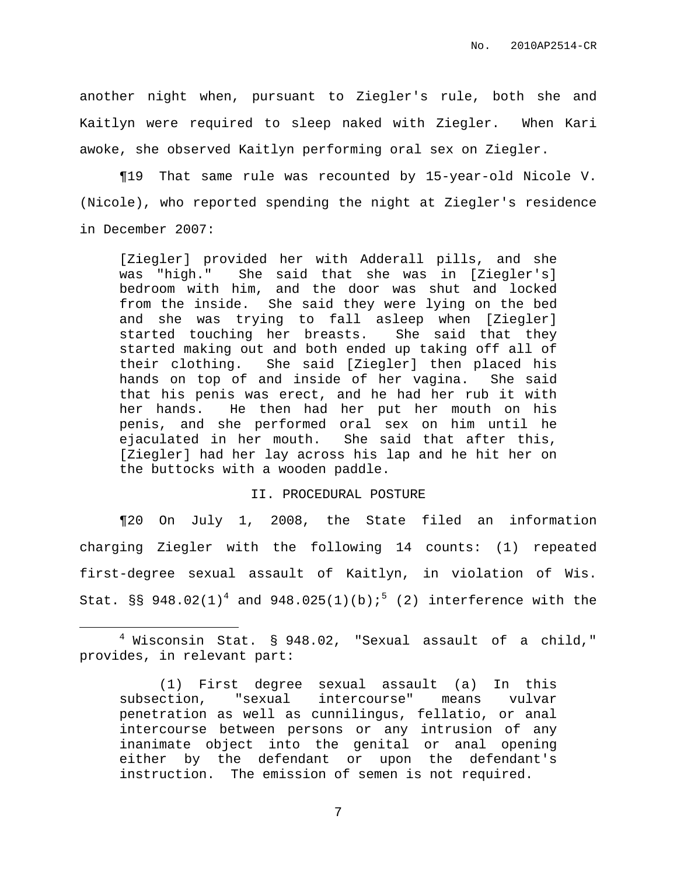another night when, pursuant to Ziegler's rule, both she and Kaitlyn were required to sleep naked with Ziegler. When Kari awoke, she observed Kaitlyn performing oral sex on Ziegler.

¶19 That same rule was recounted by 15-year-old Nicole V. (Nicole), who reported spending the night at Ziegler's residence in December 2007:

[Ziegler] provided her with Adderall pills, and she was "high." She said that she was in [Ziegler's] bedroom with him, and the door was shut and locked from the inside. She said they were lying on the bed and she was trying to fall asleep when [Ziegler] started touching her breasts. She said that they started making out and both ended up taking off all of their clothing. She said [Ziegler] then placed his hands on top of and inside of her vagina. She said that his penis was erect, and he had her rub it with her hands. He then had her put her mouth on his penis, and she performed oral sex on him until he ejaculated in her mouth. She said that after this, [Ziegler] had her lay across his lap and he hit her on the buttocks with a wooden paddle.

# II. PROCEDURAL POSTURE

¶20 On July 1, 2008, the State filed an information charging Ziegler with the following 14 counts: (1) repeated first-degree sexual assault of Kaitlyn, in violation of Wis. Stat. §§ 948.02(1)<sup>4</sup> and 948.025(1)(b);<sup>5</sup> (2) interference with the

<sup>4</sup> Wisconsin Stat. § 948.02, "Sexual assault of a child," provides, in relevant part:

<sup>(1)</sup> First degree sexual assault (a) In this subsection, "sexual intercourse" means vulvar penetration as well as cunnilingus, fellatio, or anal intercourse between persons or any intrusion of any inanimate object into the genital or anal opening either by the defendant or upon the defendant's instruction. The emission of semen is not required.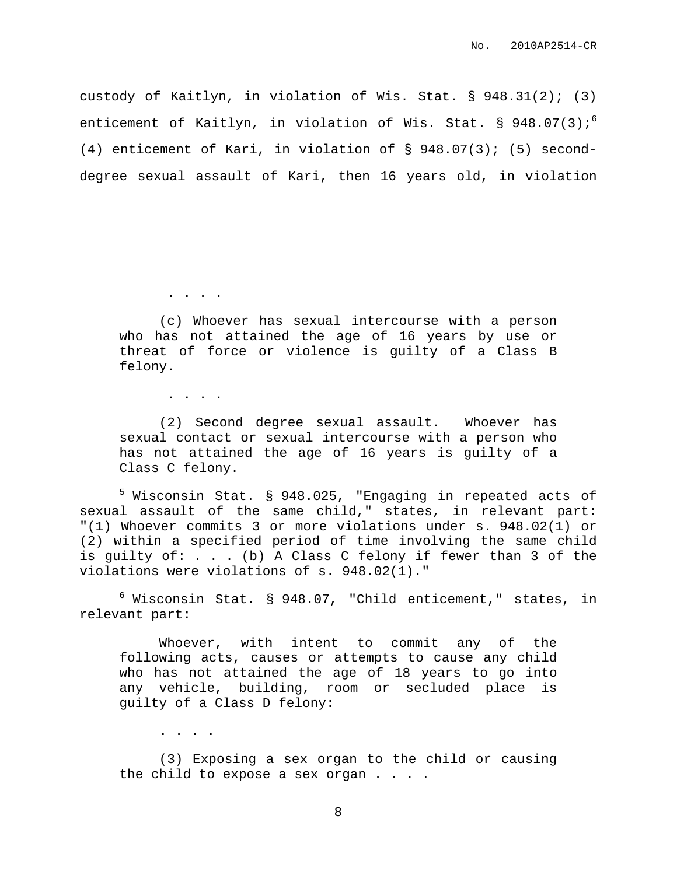custody of Kaitlyn, in violation of Wis. Stat. § 948.31(2); (3) enticement of Kaitlyn, in violation of Wis. Stat. § 948.07(3);<sup>6</sup> (4) enticement of Kari, in violation of § 948.07(3); (5) seconddegree sexual assault of Kari, then 16 years old, in violation

. . . .

(c) Whoever has sexual intercourse with a person who has not attained the age of 16 years by use or threat of force or violence is guilty of a Class B felony.

. . . .

(2) Second degree sexual assault. Whoever has sexual contact or sexual intercourse with a person who has not attained the age of 16 years is guilty of a Class C felony.

<sup>5</sup> Wisconsin Stat. § 948.025, "Engaging in repeated acts of sexual assault of the same child," states, in relevant part: "(1) Whoever commits 3 or more violations under s. 948.02(1) or (2) within a specified period of time involving the same child is guilty of: . . . (b) A Class C felony if fewer than 3 of the violations were violations of s. 948.02(1)."

 $6$  Wisconsin Stat. § 948.07, "Child enticement," states, in relevant part:

Whoever, with intent to commit any of the following acts, causes or attempts to cause any child who has not attained the age of 18 years to go into any vehicle, building, room or secluded place is guilty of a Class D felony:

. . . .

(3) Exposing a sex organ to the child or causing the child to expose a sex organ . . . .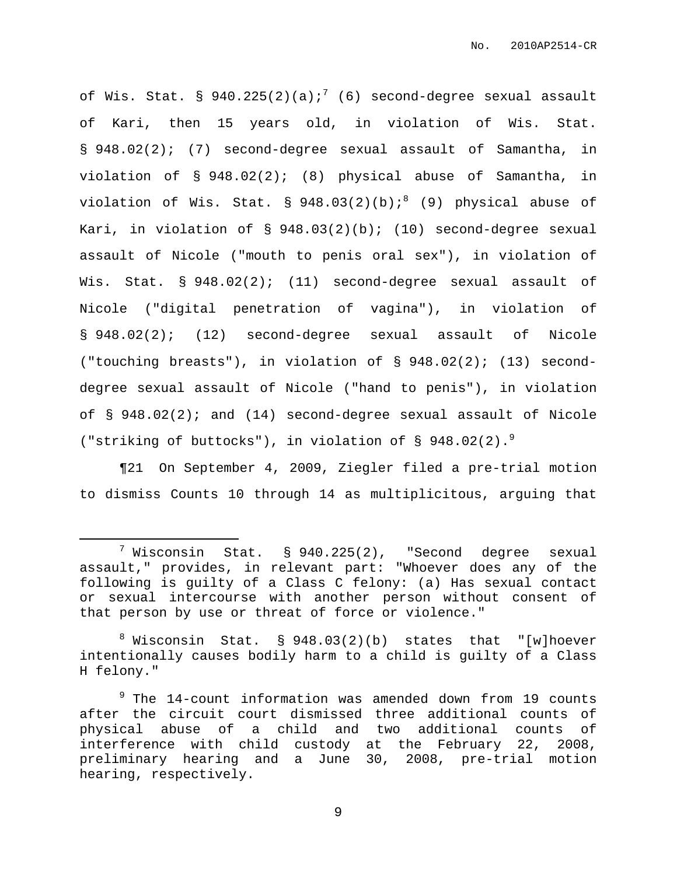of Wis. Stat. § 940.225(2)(a);<sup>7</sup> (6) second-degree sexual assault of Kari, then 15 years old, in violation of Wis. Stat. § 948.02(2); (7) second-degree sexual assault of Samantha, in violation of § 948.02(2); (8) physical abuse of Samantha, in violation of Wis. Stat. § 948.03(2)(b); $^{8}$  (9) physical abuse of Kari, in violation of  $\S$  948.03(2)(b); (10) second-degree sexual assault of Nicole ("mouth to penis oral sex"), in violation of Wis. Stat. § 948.02(2); (11) second-degree sexual assault of Nicole ("digital penetration of vagina"), in violation of § 948.02(2); (12) second-degree sexual assault of Nicole ("touching breasts"), in violation of § 948.02(2); (13) seconddegree sexual assault of Nicole ("hand to penis"), in violation of  $\S$  948.02(2); and (14) second-degree sexual assault of Nicole ("striking of buttocks"), in violation of § 948.02(2). 9

¶21 On September 4, 2009, Ziegler filed a pre-trial motion to dismiss Counts 10 through 14 as multiplicitous, arguing that

 $7$  Wisconsin Stat. § 940.225(2), "Second degree sexual assault," provides, in relevant part: "Whoever does any of the following is guilty of a Class C felony: (a) Has sexual contact or sexual intercourse with another person without consent of that person by use or threat of force or violence."

 $8$  Wisconsin Stat.  $\S$  948.03(2)(b) states that "[w]hoever intentionally causes bodily harm to a child is guilty of a Class H felony."

 $9$  The 14-count information was amended down from 19 counts after the circuit court dismissed three additional counts of physical abuse of a child and two additional counts of interference with child custody at the February 22, 2008, preliminary hearing and a June 30, 2008, pre-trial motion hearing, respectively.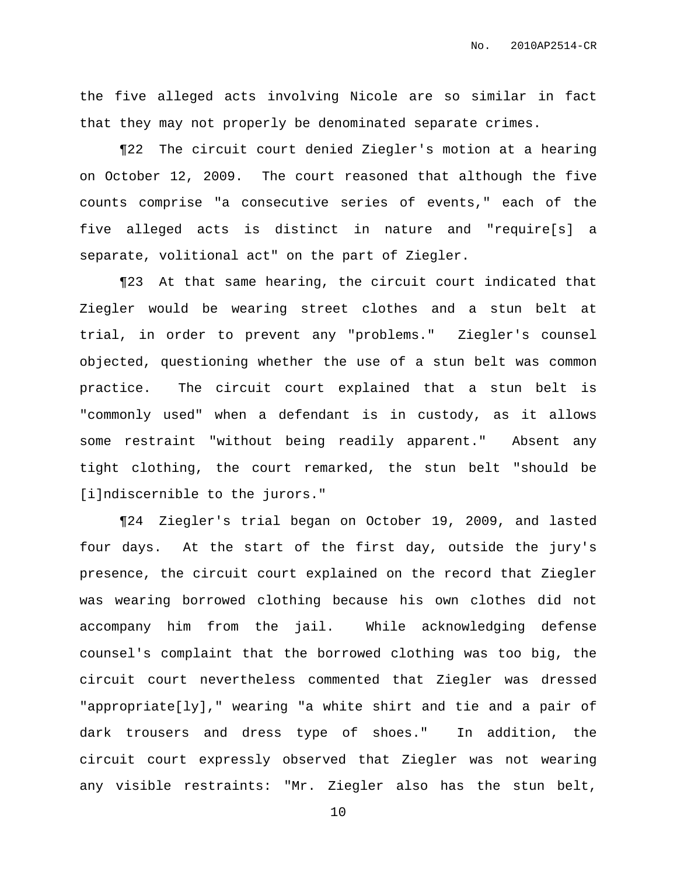the five alleged acts involving Nicole are so similar in fact that they may not properly be denominated separate crimes.

¶22 The circuit court denied Ziegler's motion at a hearing on October 12, 2009. The court reasoned that although the five counts comprise "a consecutive series of events," each of the five alleged acts is distinct in nature and "require[s] a separate, volitional act" on the part of Ziegler.

¶23 At that same hearing, the circuit court indicated that Ziegler would be wearing street clothes and a stun belt at trial, in order to prevent any "problems." Ziegler's counsel objected, questioning whether the use of a stun belt was common practice. The circuit court explained that a stun belt is "commonly used" when a defendant is in custody, as it allows some restraint "without being readily apparent." Absent any tight clothing, the court remarked, the stun belt "should be [i]ndiscernible to the jurors."

¶24 Ziegler's trial began on October 19, 2009, and lasted four days. At the start of the first day, outside the jury's presence, the circuit court explained on the record that Ziegler was wearing borrowed clothing because his own clothes did not accompany him from the jail. While acknowledging defense counsel's complaint that the borrowed clothing was too big, the circuit court nevertheless commented that Ziegler was dressed "appropriate[ly]," wearing "a white shirt and tie and a pair of dark trousers and dress type of shoes." In addition, the circuit court expressly observed that Ziegler was not wearing any visible restraints: "Mr. Ziegler also has the stun belt,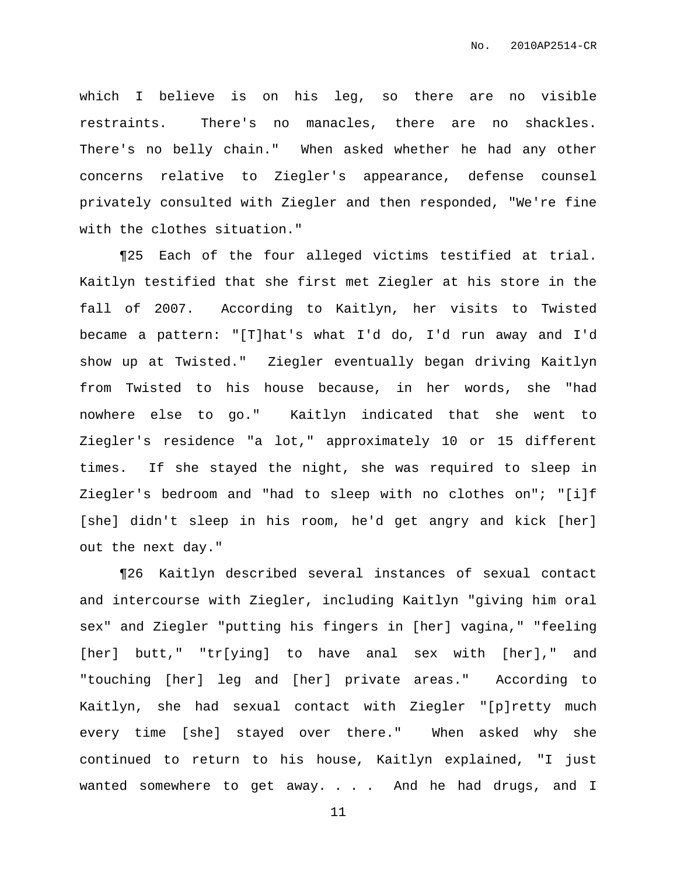which I believe is on his leg, so there are no visible restraints. There's no manacles, there are no shackles. There's no belly chain." When asked whether he had any other concerns relative to Ziegler's appearance, defense counsel privately consulted with Ziegler and then responded, "We're fine with the clothes situation."

¶25 Each of the four alleged victims testified at trial. Kaitlyn testified that she first met Ziegler at his store in the fall of 2007. According to Kaitlyn, her visits to Twisted became a pattern: "[T]hat's what I'd do, I'd run away and I'd show up at Twisted." Ziegler eventually began driving Kaitlyn from Twisted to his house because, in her words, she "had nowhere else to go." Kaitlyn indicated that she went to Ziegler's residence "a lot," approximately 10 or 15 different times. If she stayed the night, she was required to sleep in Ziegler's bedroom and "had to sleep with no clothes on"; "[i]f [she] didn't sleep in his room, he'd get angry and kick [her] out the next day."

¶26 Kaitlyn described several instances of sexual contact and intercourse with Ziegler, including Kaitlyn "giving him oral sex" and Ziegler "putting his fingers in [her] vagina," "feeling [her] butt," "tr[ying] to have anal sex with [her]," and "touching [her] leg and [her] private areas." According to Kaitlyn, she had sexual contact with Ziegler "[p]retty much every time [she] stayed over there." When asked why she continued to return to his house, Kaitlyn explained, "I just wanted somewhere to get away. . . . And he had drugs, and I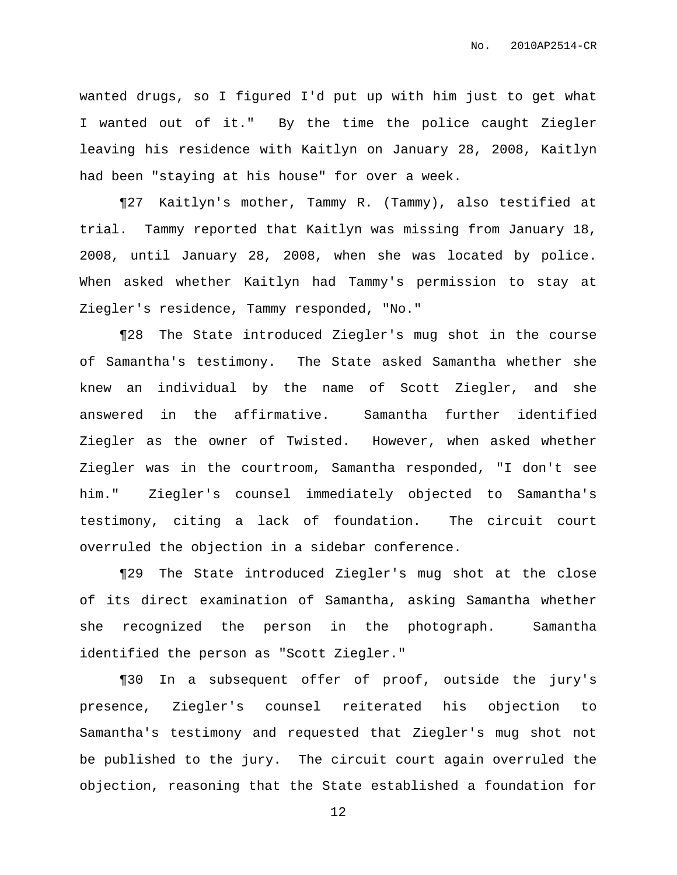wanted drugs, so I figured I'd put up with him just to get what I wanted out of it." By the time the police caught Ziegler leaving his residence with Kaitlyn on January 28, 2008, Kaitlyn had been "staying at his house" for over a week.

¶27 Kaitlyn's mother, Tammy R. (Tammy), also testified at trial. Tammy reported that Kaitlyn was missing from January 18, 2008, until January 28, 2008, when she was located by police. When asked whether Kaitlyn had Tammy's permission to stay at Ziegler's residence, Tammy responded, "No."

¶28 The State introduced Ziegler's mug shot in the course of Samantha's testimony. The State asked Samantha whether she knew an individual by the name of Scott Ziegler, and she answered in the affirmative. Samantha further identified Ziegler as the owner of Twisted. However, when asked whether Ziegler was in the courtroom, Samantha responded, "I don't see him." Ziegler's counsel immediately objected to Samantha's testimony, citing a lack of foundation. The circuit court overruled the objection in a sidebar conference.

¶29 The State introduced Ziegler's mug shot at the close of its direct examination of Samantha, asking Samantha whether she recognized the person in the photograph. Samantha identified the person as "Scott Ziegler."

¶30 In a subsequent offer of proof, outside the jury's presence, Ziegler's counsel reiterated his objection to Samantha's testimony and requested that Ziegler's mug shot not be published to the jury. The circuit court again overruled the objection, reasoning that the State established a foundation for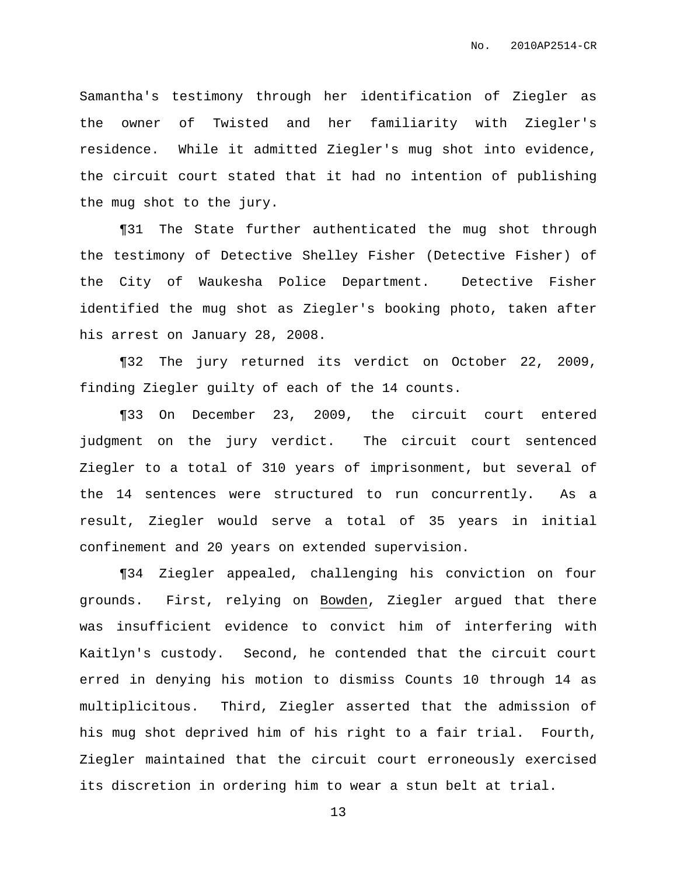Samantha's testimony through her identification of Ziegler as the owner of Twisted and her familiarity with Ziegler's residence. While it admitted Ziegler's mug shot into evidence, the circuit court stated that it had no intention of publishing the mug shot to the jury.

¶31 The State further authenticated the mug shot through the testimony of Detective Shelley Fisher (Detective Fisher) of the City of Waukesha Police Department. Detective Fisher identified the mug shot as Ziegler's booking photo, taken after his arrest on January 28, 2008.

¶32 The jury returned its verdict on October 22, 2009, finding Ziegler guilty of each of the 14 counts.

¶33 On December 23, 2009, the circuit court entered judgment on the jury verdict. The circuit court sentenced Ziegler to a total of 310 years of imprisonment, but several of the 14 sentences were structured to run concurrently. As a result, Ziegler would serve a total of 35 years in initial confinement and 20 years on extended supervision.

¶34 Ziegler appealed, challenging his conviction on four grounds. First, relying on Bowden, Ziegler argued that there was insufficient evidence to convict him of interfering with Kaitlyn's custody. Second, he contended that the circuit court erred in denying his motion to dismiss Counts 10 through 14 as multiplicitous. Third, Ziegler asserted that the admission of his mug shot deprived him of his right to a fair trial. Fourth, Ziegler maintained that the circuit court erroneously exercised its discretion in ordering him to wear a stun belt at trial.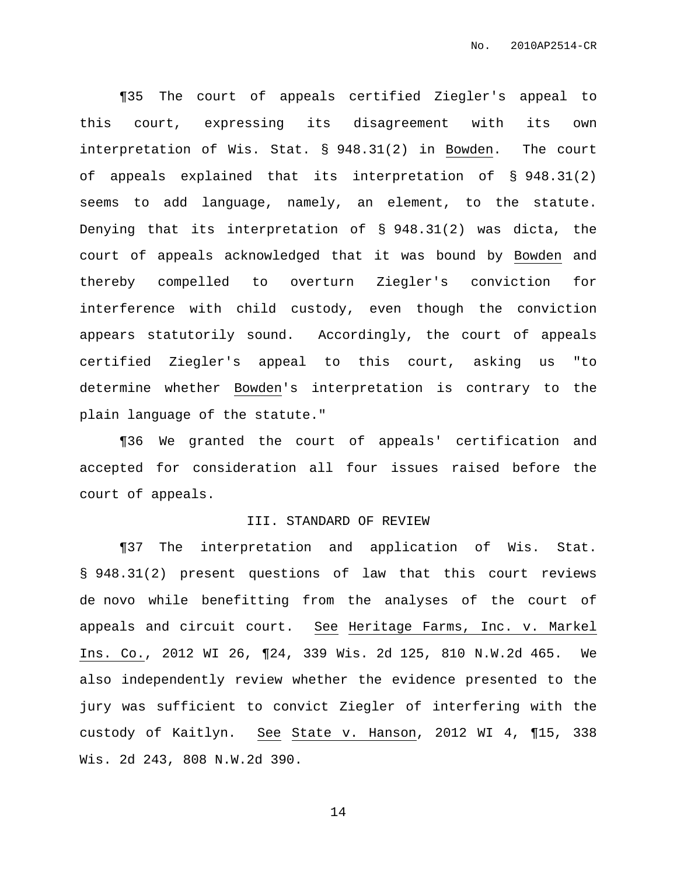¶35 The court of appeals certified Ziegler's appeal to this court, expressing its disagreement with its own interpretation of Wis. Stat. § 948.31(2) in Bowden. The court of appeals explained that its interpretation of § 948.31(2) seems to add language, namely, an element, to the statute. Denying that its interpretation of § 948.31(2) was dicta, the court of appeals acknowledged that it was bound by Bowden and thereby compelled to overturn Ziegler's conviction for interference with child custody, even though the conviction appears statutorily sound. Accordingly, the court of appeals certified Ziegler's appeal to this court, asking us "to determine whether Bowden's interpretation is contrary to the plain language of the statute."

¶36 We granted the court of appeals' certification and accepted for consideration all four issues raised before the court of appeals.

## III. STANDARD OF REVIEW

¶37 The interpretation and application of Wis. Stat. § 948.31(2) present questions of law that this court reviews de novo while benefitting from the analyses of the court of appeals and circuit court. See Heritage Farms, Inc. v. Markel Ins. Co., 2012 WI 26, ¶24, 339 Wis. 2d 125, 810 N.W.2d 465. We also independently review whether the evidence presented to the jury was sufficient to convict Ziegler of interfering with the custody of Kaitlyn. See State v. Hanson, 2012 WI 4, ¶15, 338 Wis. 2d 243, 808 N.W.2d 390.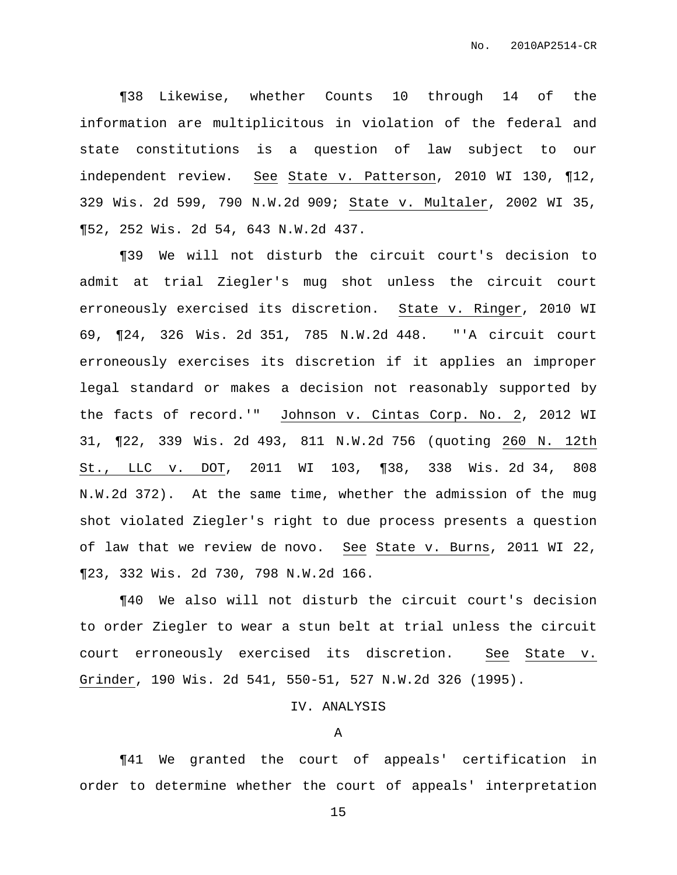¶38 Likewise, whether Counts 10 through 14 of the information are multiplicitous in violation of the federal and state constitutions is a question of law subject to our independent review. See State v. Patterson, 2010 WI 130, ¶12, 329 Wis. 2d 599, 790 N.W.2d 909; State v. Multaler, 2002 WI 35, ¶52, 252 Wis. 2d 54, 643 N.W.2d 437.

¶39 We will not disturb the circuit court's decision to admit at trial Ziegler's mug shot unless the circuit court erroneously exercised its discretion. State v. Ringer, 2010 WI 69, ¶24, 326 Wis. 2d 351, 785 N.W.2d 448. "'A circuit court erroneously exercises its discretion if it applies an improper legal standard or makes a decision not reasonably supported by the facts of record.'" Johnson v. Cintas Corp. No. 2, 2012 WI 31, ¶22, 339 Wis. 2d 493, 811 N.W.2d 756 (quoting 260 N. 12th St., LLC v. DOT, 2011 WI 103, ¶38, 338 Wis. 2d 34, 808 N.W.2d 372). At the same time, whether the admission of the mug shot violated Ziegler's right to due process presents a question of law that we review de novo. See State v. Burns, 2011 WI 22, ¶23, 332 Wis. 2d 730, 798 N.W.2d 166.

¶40 We also will not disturb the circuit court's decision to order Ziegler to wear a stun belt at trial unless the circuit court erroneously exercised its discretion. See State v. Grinder, 190 Wis. 2d 541, 550-51, 527 N.W.2d 326 (1995).

# IV. ANALYSIS

#### A

¶41 We granted the court of appeals' certification in order to determine whether the court of appeals' interpretation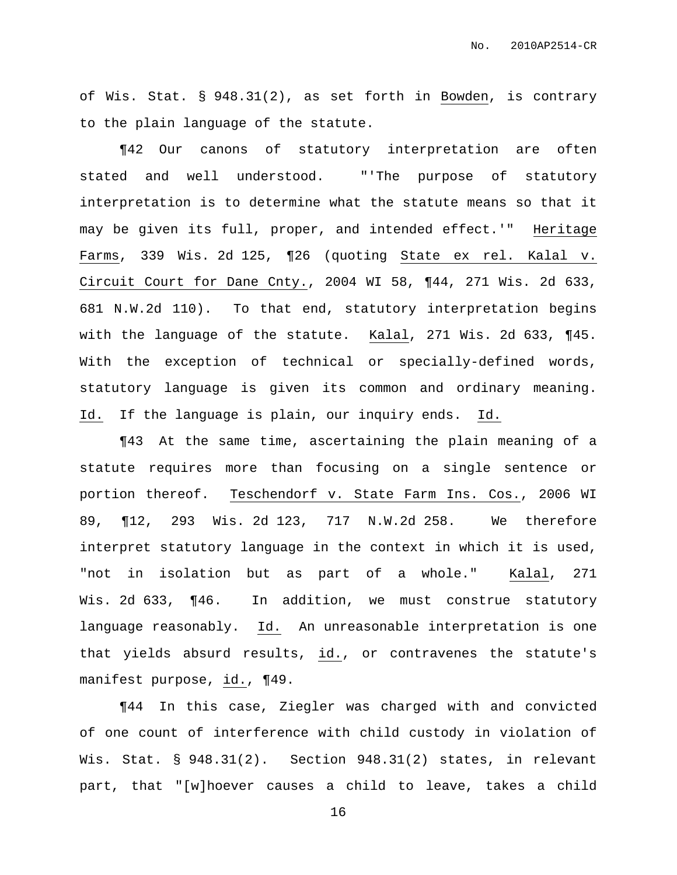of Wis. Stat. § 948.31(2), as set forth in Bowden, is contrary to the plain language of the statute.

¶42 Our canons of statutory interpretation are often stated and well understood. "'The purpose of statutory interpretation is to determine what the statute means so that it may be given its full, proper, and intended effect.'" Heritage Farms, 339 Wis. 2d 125, 126 (quoting State ex rel. Kalal v. Circuit Court for Dane Cnty., 2004 WI 58, ¶44, 271 Wis. 2d 633, 681 N.W.2d 110). To that end, statutory interpretation begins with the language of the statute. Kalal, 271 Wis. 2d 633, ¶45. With the exception of technical or specially-defined words, statutory language is given its common and ordinary meaning. Id. If the language is plain, our inquiry ends. Id.

¶43 At the same time, ascertaining the plain meaning of a statute requires more than focusing on a single sentence or portion thereof. Teschendorf v. State Farm Ins. Cos., 2006 WI 89, ¶12, 293 Wis. 2d 123, 717 N.W.2d 258. We therefore interpret statutory language in the context in which it is used, "not in isolation but as part of a whole." Kalal, 271 Wis. 2d 633, ¶46. In addition, we must construe statutory language reasonably. Id. An unreasonable interpretation is one that yields absurd results, id., or contravenes the statute's manifest purpose, id., ¶49.

¶44 In this case, Ziegler was charged with and convicted of one count of interference with child custody in violation of Wis. Stat. § 948.31(2). Section 948.31(2) states, in relevant part, that "[w]hoever causes a child to leave, takes a child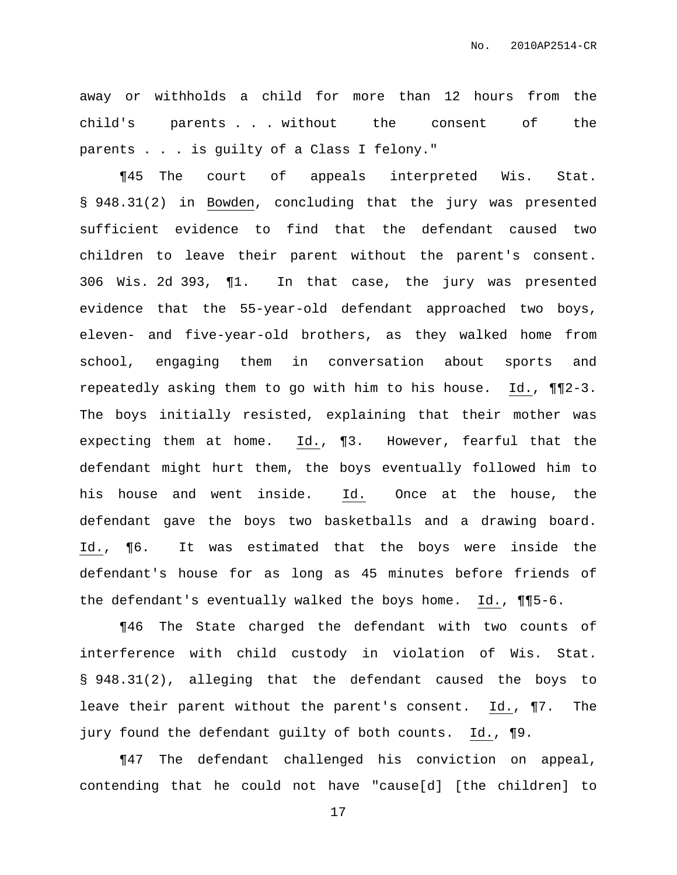away or withholds a child for more than 12 hours from the child's parents . . . without the consent of the parents . . . is guilty of a Class I felony."

¶45 The court of appeals interpreted Wis. Stat. § 948.31(2) in Bowden, concluding that the jury was presented sufficient evidence to find that the defendant caused two children to leave their parent without the parent's consent. 306 Wis. 2d 393, ¶1. In that case, the jury was presented evidence that the 55-year-old defendant approached two boys, eleven- and five-year-old brothers, as they walked home from school, engaging them in conversation about sports and repeatedly asking them to go with him to his house. Id., ¶¶2-3. The boys initially resisted, explaining that their mother was expecting them at home. Id., ¶3. However, fearful that the defendant might hurt them, the boys eventually followed him to his house and went inside. Id. Once at the house, the defendant gave the boys two basketballs and a drawing board. Id., ¶6. It was estimated that the boys were inside the defendant's house for as long as 45 minutes before friends of the defendant's eventually walked the boys home. Id., ¶¶5-6.

¶46 The State charged the defendant with two counts of interference with child custody in violation of Wis. Stat. § 948.31(2), alleging that the defendant caused the boys to leave their parent without the parent's consent. Id., ¶7. The jury found the defendant guilty of both counts. Id., ¶9.

¶47 The defendant challenged his conviction on appeal, contending that he could not have "cause[d] [the children] to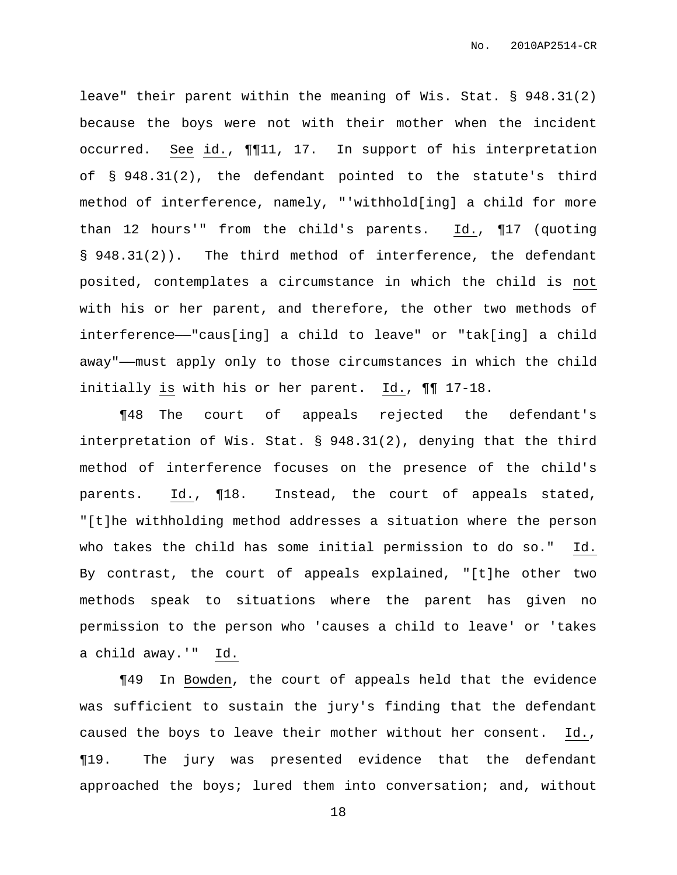leave" their parent within the meaning of Wis. Stat. § 948.31(2) because the boys were not with their mother when the incident occurred. See id., ¶¶11, 17. In support of his interpretation of § 948.31(2), the defendant pointed to the statute's third method of interference, namely, "'withhold[ing] a child for more than 12 hours'" from the child's parents. Id., ¶17 (quoting § 948.31(2)). The third method of interference, the defendant posited, contemplates a circumstance in which the child is not with his or her parent, and therefore, the other two methods of interference——"caus[ing] a child to leave" or "tak[ing] a child away"——must apply only to those circumstances in which the child initially is with his or her parent. Id., ¶¶ 17-18.

¶48 The court of appeals rejected the defendant's interpretation of Wis. Stat. § 948.31(2), denying that the third method of interference focuses on the presence of the child's parents. Id., ¶18. Instead, the court of appeals stated, "[t]he withholding method addresses a situation where the person who takes the child has some initial permission to do so." Id. By contrast, the court of appeals explained, "[t]he other two methods speak to situations where the parent has given no permission to the person who 'causes a child to leave' or 'takes a child away.'" Id.

¶49 In Bowden, the court of appeals held that the evidence was sufficient to sustain the jury's finding that the defendant caused the boys to leave their mother without her consent. Id., ¶19. The jury was presented evidence that the defendant approached the boys; lured them into conversation; and, without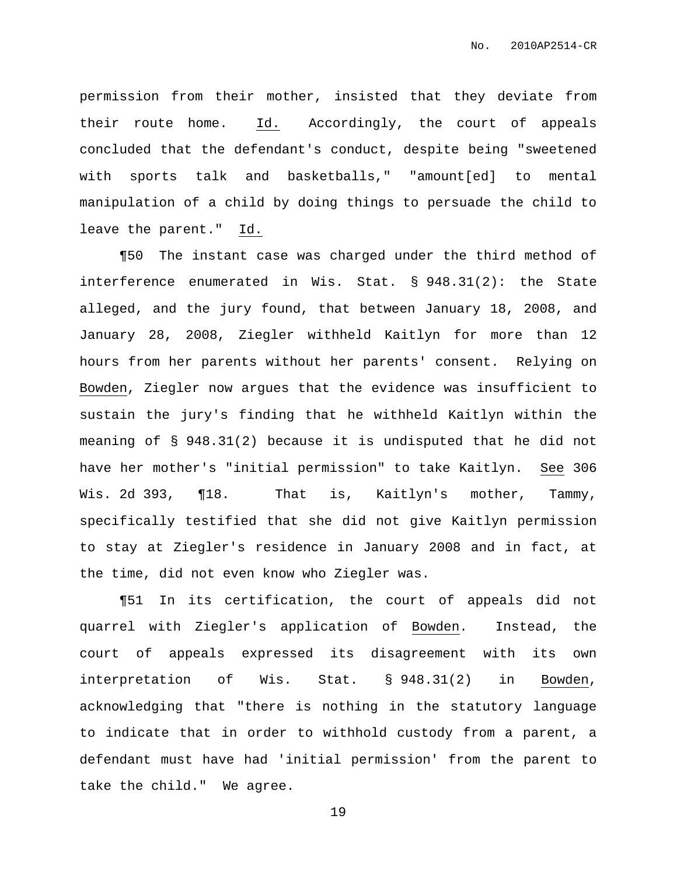permission from their mother, insisted that they deviate from their route home. Id. Accordingly, the court of appeals concluded that the defendant's conduct, despite being "sweetened with sports talk and basketballs," "amount[ed] to mental manipulation of a child by doing things to persuade the child to leave the parent." Id.

¶50 The instant case was charged under the third method of interference enumerated in Wis. Stat. § 948.31(2): the State alleged, and the jury found, that between January 18, 2008, and January 28, 2008, Ziegler withheld Kaitlyn for more than 12 hours from her parents without her parents' consent. Relying on Bowden, Ziegler now argues that the evidence was insufficient to sustain the jury's finding that he withheld Kaitlyn within the meaning of § 948.31(2) because it is undisputed that he did not have her mother's "initial permission" to take Kaitlyn. See 306 Wis. 2d 393, ¶18. That is, Kaitlyn's mother, Tammy, specifically testified that she did not give Kaitlyn permission to stay at Ziegler's residence in January 2008 and in fact, at the time, did not even know who Ziegler was.

¶51 In its certification, the court of appeals did not quarrel with Ziegler's application of Bowden. Instead, the court of appeals expressed its disagreement with its own interpretation of Wis. Stat. § 948.31(2) in Bowden, acknowledging that "there is nothing in the statutory language to indicate that in order to withhold custody from a parent, a defendant must have had 'initial permission' from the parent to take the child." We agree.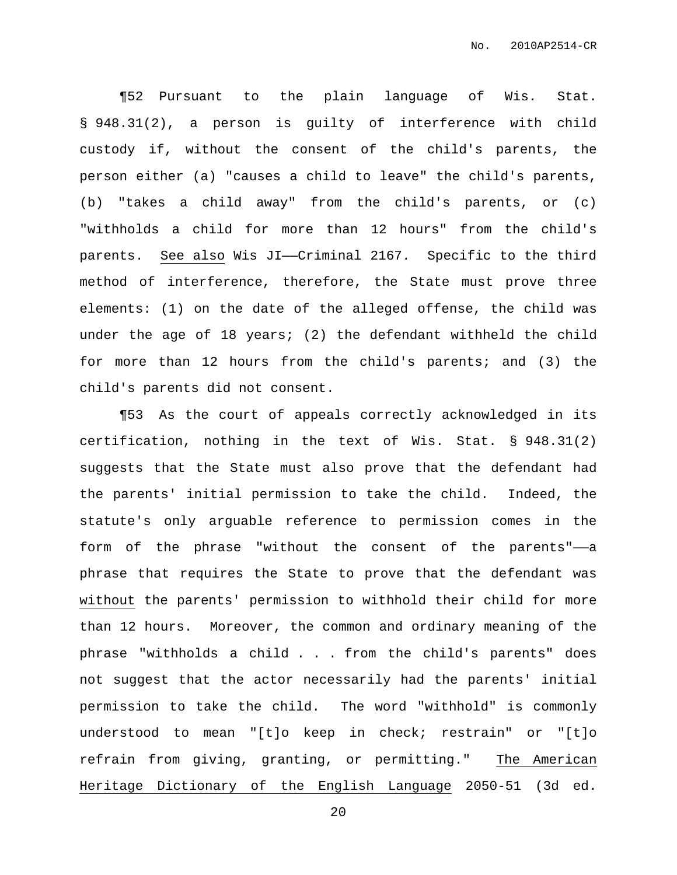¶52 Pursuant to the plain language of Wis. Stat. § 948.31(2), a person is guilty of interference with child custody if, without the consent of the child's parents, the person either (a) "causes a child to leave" the child's parents, (b) "takes a child away" from the child's parents, or (c) "withholds a child for more than 12 hours" from the child's parents. See also Wis JI--Criminal 2167. Specific to the third method of interference, therefore, the State must prove three elements: (1) on the date of the alleged offense, the child was under the age of 18 years; (2) the defendant withheld the child for more than 12 hours from the child's parents; and (3) the child's parents did not consent.

¶53 As the court of appeals correctly acknowledged in its certification, nothing in the text of Wis. Stat. § 948.31(2) suggests that the State must also prove that the defendant had the parents' initial permission to take the child. Indeed, the statute's only arguable reference to permission comes in the form of the phrase "without the consent of the parents"-a phrase that requires the State to prove that the defendant was without the parents' permission to withhold their child for more than 12 hours. Moreover, the common and ordinary meaning of the phrase "withholds a child . . . from the child's parents" does not suggest that the actor necessarily had the parents' initial permission to take the child. The word "withhold" is commonly understood to mean "[t]o keep in check; restrain" or "[t]o refrain from giving, granting, or permitting." The American Heritage Dictionary of the English Language 2050-51 (3d ed.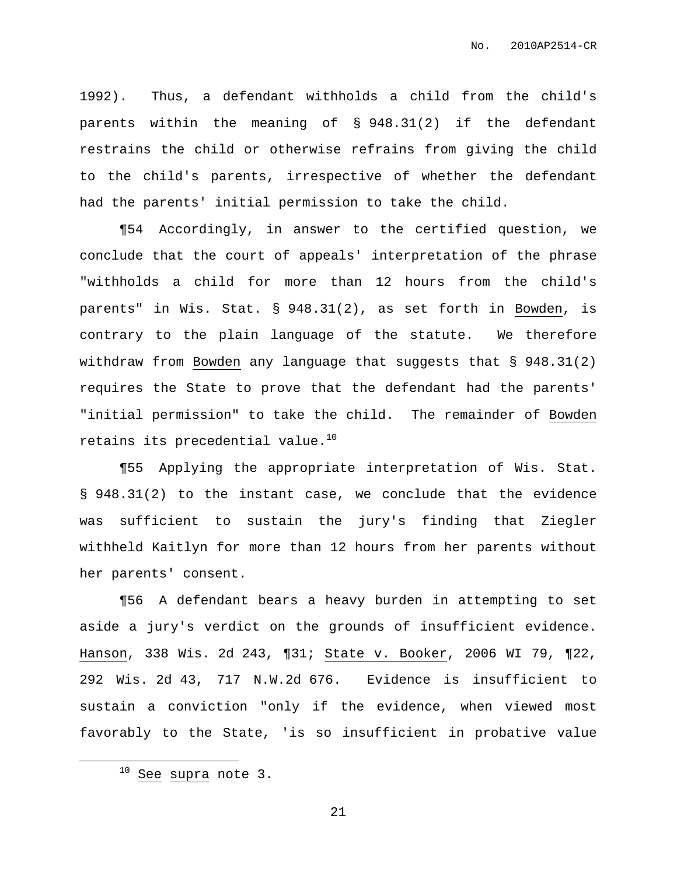1992). Thus, a defendant withholds a child from the child's parents within the meaning of § 948.31(2) if the defendant restrains the child or otherwise refrains from giving the child to the child's parents, irrespective of whether the defendant had the parents' initial permission to take the child.

¶54 Accordingly, in answer to the certified question, we conclude that the court of appeals' interpretation of the phrase "withholds a child for more than 12 hours from the child's parents" in Wis. Stat. § 948.31(2), as set forth in Bowden, is contrary to the plain language of the statute. We therefore withdraw from Bowden any language that suggests that § 948.31(2) requires the State to prove that the defendant had the parents' "initial permission" to take the child. The remainder of Bowden retains its precedential value. $^{10}$ 

¶55 Applying the appropriate interpretation of Wis. Stat. § 948.31(2) to the instant case, we conclude that the evidence was sufficient to sustain the jury's finding that Ziegler withheld Kaitlyn for more than 12 hours from her parents without her parents' consent.

¶56 A defendant bears a heavy burden in attempting to set aside a jury's verdict on the grounds of insufficient evidence. Hanson, 338 Wis. 2d 243, ¶31; State v. Booker, 2006 WI 79, ¶22, 292 Wis. 2d 43, 717 N.W.2d 676. Evidence is insufficient to sustain a conviction "only if the evidence, when viewed most favorably to the State, 'is so insufficient in probative value

 $10$  See supra note 3.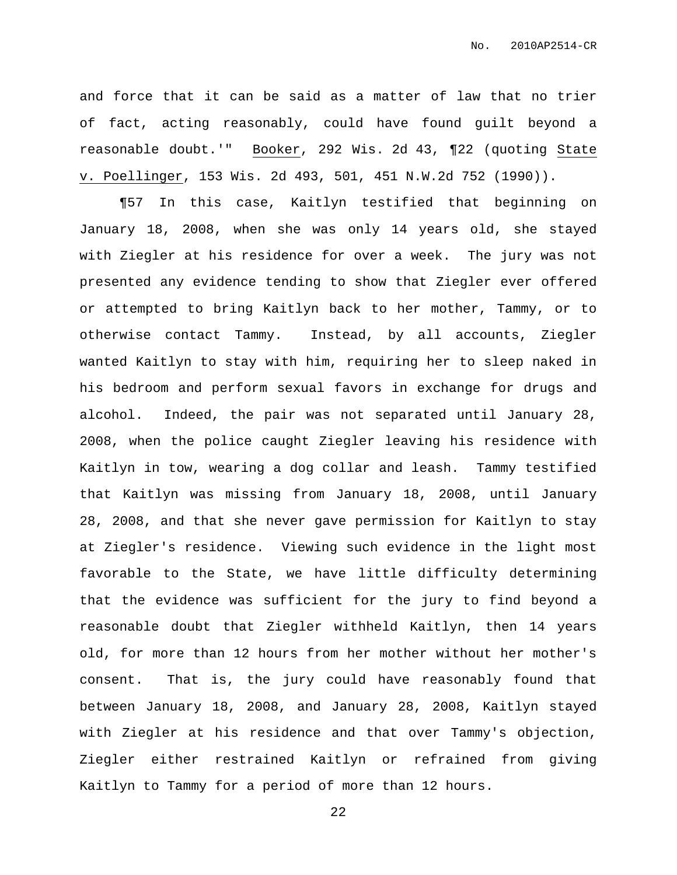and force that it can be said as a matter of law that no trier of fact, acting reasonably, could have found guilt beyond a reasonable doubt.'" Booker, 292 Wis. 2d 43, ¶22 (quoting State v. Poellinger, 153 Wis. 2d 493, 501, 451 N.W.2d 752 (1990)).

¶57 In this case, Kaitlyn testified that beginning on January 18, 2008, when she was only 14 years old, she stayed with Ziegler at his residence for over a week. The jury was not presented any evidence tending to show that Ziegler ever offered or attempted to bring Kaitlyn back to her mother, Tammy, or to otherwise contact Tammy. Instead, by all accounts, Ziegler wanted Kaitlyn to stay with him, requiring her to sleep naked in his bedroom and perform sexual favors in exchange for drugs and alcohol. Indeed, the pair was not separated until January 28, 2008, when the police caught Ziegler leaving his residence with Kaitlyn in tow, wearing a dog collar and leash. Tammy testified that Kaitlyn was missing from January 18, 2008, until January 28, 2008, and that she never gave permission for Kaitlyn to stay at Ziegler's residence. Viewing such evidence in the light most favorable to the State, we have little difficulty determining that the evidence was sufficient for the jury to find beyond a reasonable doubt that Ziegler withheld Kaitlyn, then 14 years old, for more than 12 hours from her mother without her mother's consent. That is, the jury could have reasonably found that between January 18, 2008, and January 28, 2008, Kaitlyn stayed with Ziegler at his residence and that over Tammy's objection, Ziegler either restrained Kaitlyn or refrained from giving Kaitlyn to Tammy for a period of more than 12 hours.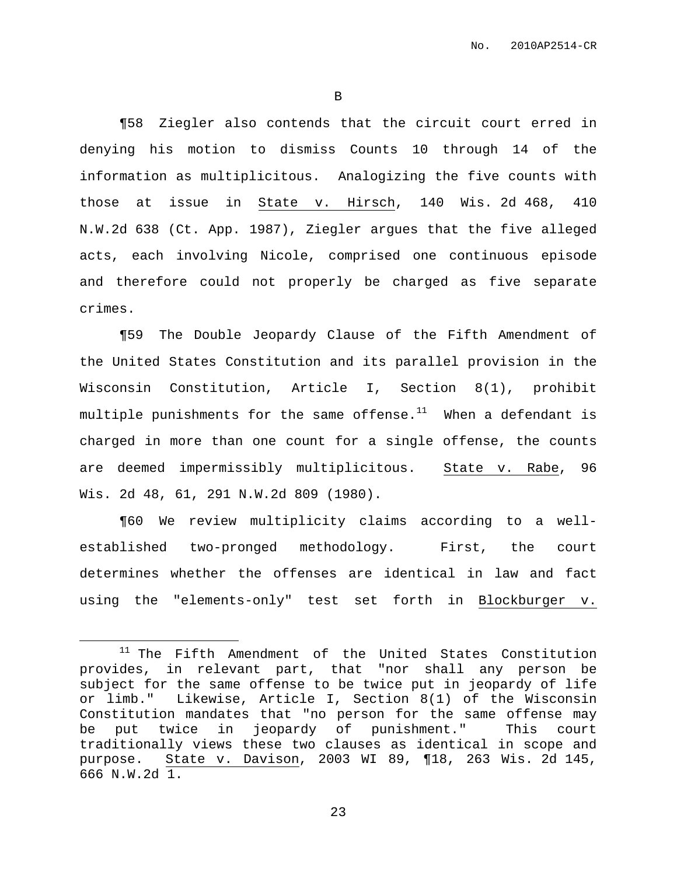B

¶58 Ziegler also contends that the circuit court erred in denying his motion to dismiss Counts 10 through 14 of the information as multiplicitous. Analogizing the five counts with those at issue in State v. Hirsch, 140 Wis. 2d 468, 410 N.W.2d 638 (Ct. App. 1987), Ziegler argues that the five alleged acts, each involving Nicole, comprised one continuous episode and therefore could not properly be charged as five separate crimes.

¶59 The Double Jeopardy Clause of the Fifth Amendment of the United States Constitution and its parallel provision in the Wisconsin Constitution, Article I, Section 8(1), prohibit multiple punishments for the same offense. $^{11}$  –When a defendant is charged in more than one count for a single offense, the counts are deemed impermissibly multiplicitous. State v. Rabe, 96 Wis. 2d 48, 61, 291 N.W.2d 809 (1980).

¶60 We review multiplicity claims according to a wellestablished two-pronged methodology. First, the court determines whether the offenses are identical in law and fact using the "elements-only" test set forth in Blockburger v.

<sup>11</sup> The Fifth Amendment of the United States Constitution provides, in relevant part, that "nor shall any person be subject for the same offense to be twice put in jeopardy of life or limb." Likewise, Article I, Section 8(1) of the Wisconsin Constitution mandates that "no person for the same offense may be put twice in jeopardy of punishment." This court traditionally views these two clauses as identical in scope and purpose. State v. Davison, 2003 WI 89, ¶18, 263 Wis. 2d 145, 666 N.W.2d 1.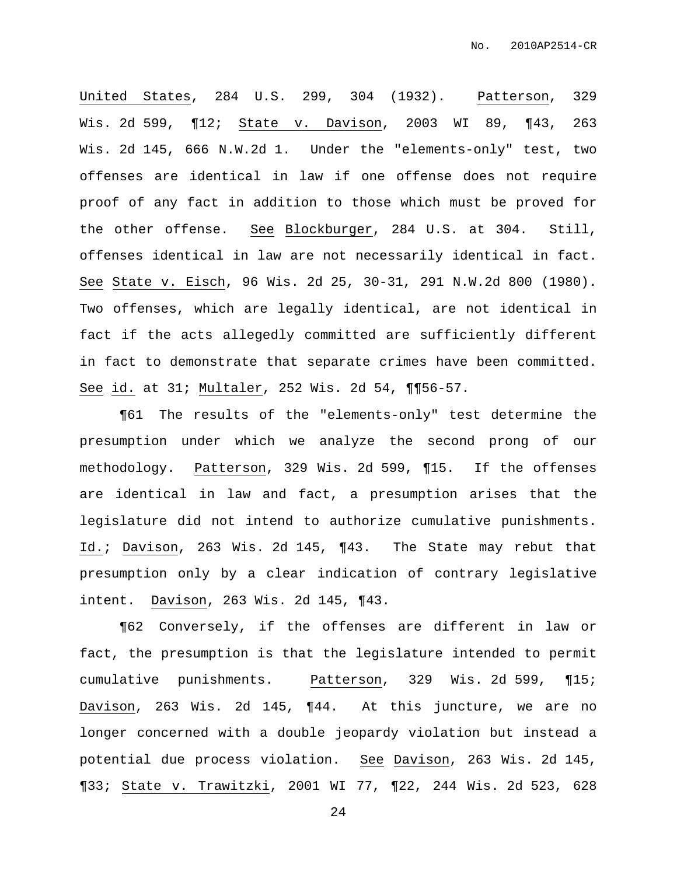United States, 284 U.S. 299, 304 (1932). Patterson, 329 Wis. 2d 599, ¶12; State v. Davison, 2003 WI 89, ¶43, 263 Wis. 2d 145, 666 N.W.2d 1. Under the "elements-only" test, two offenses are identical in law if one offense does not require proof of any fact in addition to those which must be proved for the other offense. See Blockburger, 284 U.S. at 304. Still, offenses identical in law are not necessarily identical in fact. See State v. Eisch, 96 Wis. 2d 25, 30-31, 291 N.W.2d 800 (1980). Two offenses, which are legally identical, are not identical in fact if the acts allegedly committed are sufficiently different in fact to demonstrate that separate crimes have been committed. See id. at 31; Multaler, 252 Wis. 2d 54, ¶¶56-57.

¶61 The results of the "elements-only" test determine the presumption under which we analyze the second prong of our methodology. Patterson, 329 Wis. 2d 599, ¶15. If the offenses are identical in law and fact, a presumption arises that the legislature did not intend to authorize cumulative punishments. Id.; Davison, 263 Wis. 2d 145, ¶43. The State may rebut that presumption only by a clear indication of contrary legislative intent. Davison, 263 Wis. 2d 145, ¶43.

¶62 Conversely, if the offenses are different in law or fact, the presumption is that the legislature intended to permit cumulative punishments. Patterson, 329 Wis. 2d 599, ¶15; Davison, 263 Wis. 2d 145, ¶44. At this juncture, we are no longer concerned with a double jeopardy violation but instead a potential due process violation. See Davison, 263 Wis. 2d 145, ¶33; State v. Trawitzki, 2001 WI 77, ¶22, 244 Wis. 2d 523, 628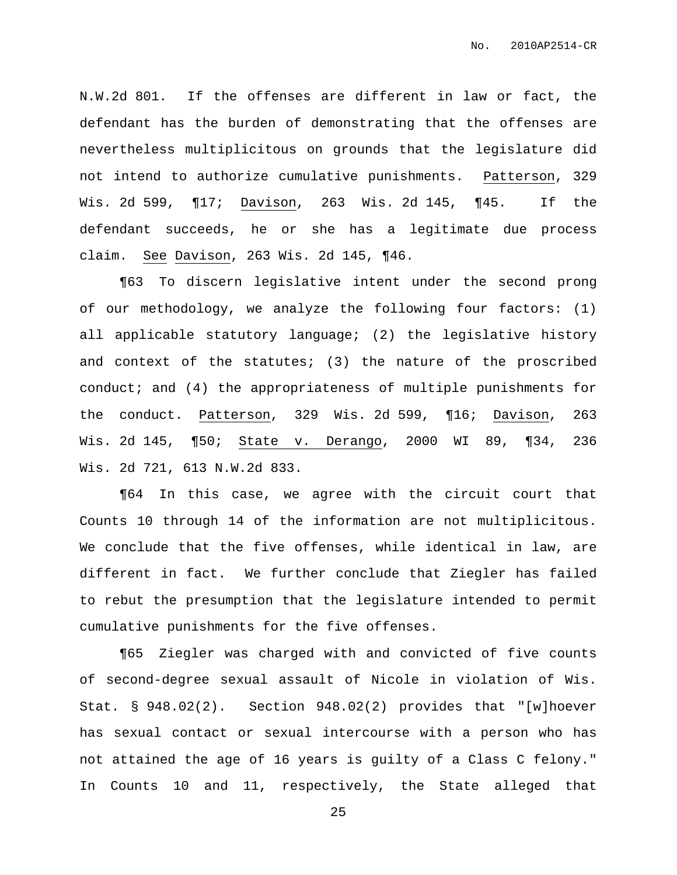N.W.2d 801. If the offenses are different in law or fact, the defendant has the burden of demonstrating that the offenses are nevertheless multiplicitous on grounds that the legislature did not intend to authorize cumulative punishments. Patterson, 329 Wis. 2d 599, ¶17; Davison, 263 Wis. 2d 145, ¶45. If the defendant succeeds, he or she has a legitimate due process claim. See Davison, 263 Wis. 2d 145, ¶46.

¶63 To discern legislative intent under the second prong of our methodology, we analyze the following four factors: (1) all applicable statutory language; (2) the legislative history and context of the statutes; (3) the nature of the proscribed conduct; and (4) the appropriateness of multiple punishments for the conduct. Patterson, 329 Wis. 2d 599, ¶16; Davison, 263 Wis. 2d 145, ¶50; State v. Derango, 2000 WI 89, ¶34, 236 Wis. 2d 721, 613 N.W.2d 833.

¶64 In this case, we agree with the circuit court that Counts 10 through 14 of the information are not multiplicitous. We conclude that the five offenses, while identical in law, are different in fact. We further conclude that Ziegler has failed to rebut the presumption that the legislature intended to permit cumulative punishments for the five offenses.

¶65 Ziegler was charged with and convicted of five counts of second-degree sexual assault of Nicole in violation of Wis. Stat. § 948.02(2). Section 948.02(2) provides that "[w]hoever has sexual contact or sexual intercourse with a person who has not attained the age of 16 years is guilty of a Class C felony." In Counts 10 and 11, respectively, the State alleged that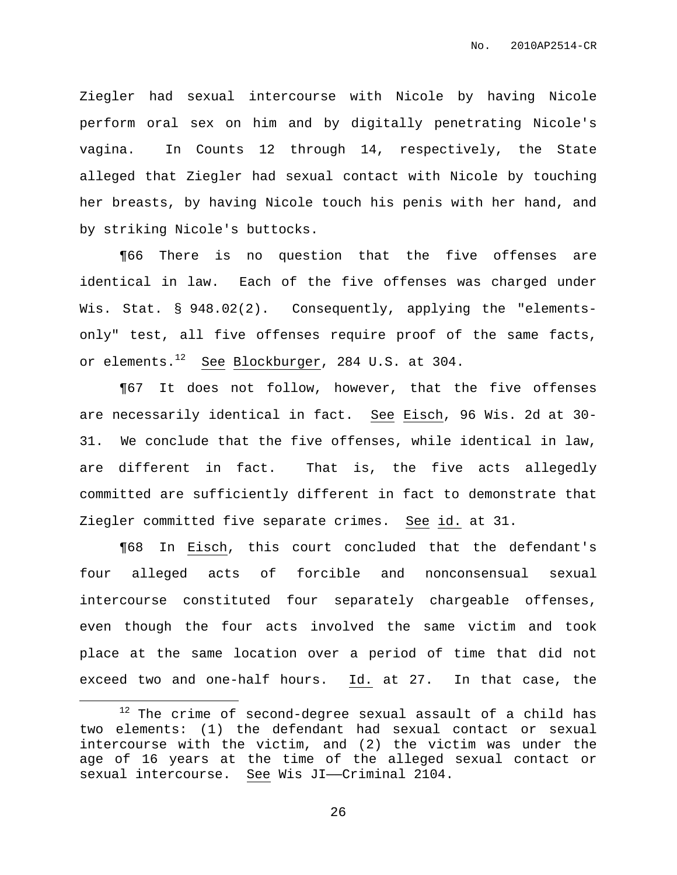Ziegler had sexual intercourse with Nicole by having Nicole perform oral sex on him and by digitally penetrating Nicole's vagina. In Counts 12 through 14, respectively, the State alleged that Ziegler had sexual contact with Nicole by touching her breasts, by having Nicole touch his penis with her hand, and by striking Nicole's buttocks.

¶66 There is no question that the five offenses are identical in law. Each of the five offenses was charged under Wis. Stat. § 948.02(2). Consequently, applying the "elementsonly" test, all five offenses require proof of the same facts, or elements. $^{12}$  See Blockburger, 284 U.S. at 304.

¶67 It does not follow, however, that the five offenses are necessarily identical in fact. See Eisch, 96 Wis. 2d at 30- 31. We conclude that the five offenses, while identical in law, are different in fact. That is, the five acts allegedly committed are sufficiently different in fact to demonstrate that Ziegler committed five separate crimes. See id. at 31.

¶68 In Eisch, this court concluded that the defendant's four alleged acts of forcible and nonconsensual sexual intercourse constituted four separately chargeable offenses, even though the four acts involved the same victim and took place at the same location over a period of time that did not exceed two and one-half hours. Id. at 27. In that case, the

 $12$  The crime of second-degree sexual assault of a child has two elements: (1) the defendant had sexual contact or sexual intercourse with the victim, and (2) the victim was under the age of 16 years at the time of the alleged sexual contact or sexual intercourse. See Wis JI—Criminal 2104.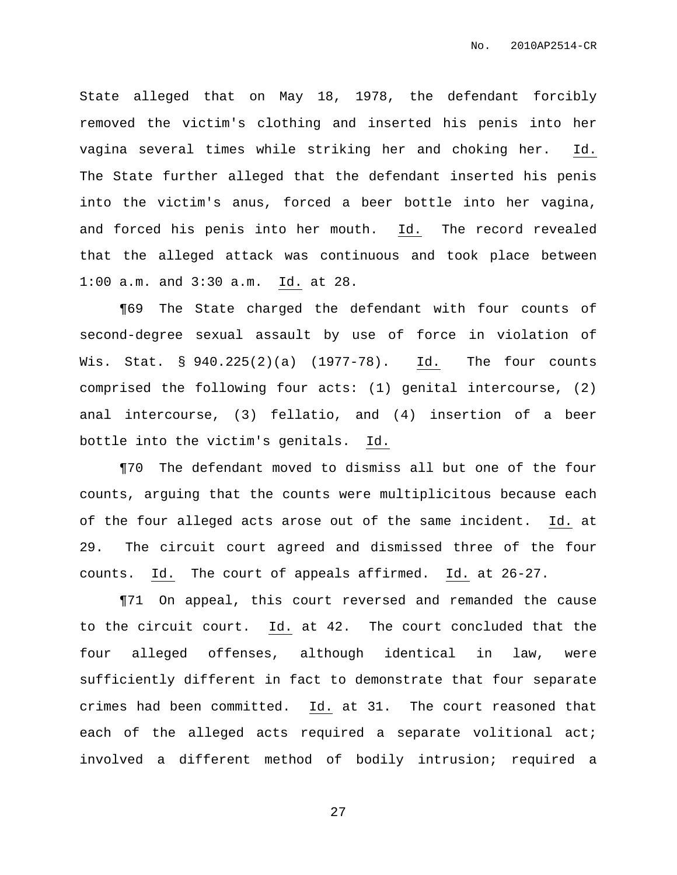State alleged that on May 18, 1978, the defendant forcibly removed the victim's clothing and inserted his penis into her vagina several times while striking her and choking her. Id. The State further alleged that the defendant inserted his penis into the victim's anus, forced a beer bottle into her vagina, and forced his penis into her mouth. Id. The record revealed that the alleged attack was continuous and took place between 1:00 a.m. and 3:30 a.m. Id. at 28.

¶69 The State charged the defendant with four counts of second-degree sexual assault by use of force in violation of Wis. Stat. § 940.225(2)(a) (1977-78). Id. The four counts comprised the following four acts: (1) genital intercourse, (2) anal intercourse, (3) fellatio, and (4) insertion of a beer bottle into the victim's genitals. Id.

¶70 The defendant moved to dismiss all but one of the four counts, arguing that the counts were multiplicitous because each of the four alleged acts arose out of the same incident. Id. at 29. The circuit court agreed and dismissed three of the four counts. Id. The court of appeals affirmed. Id. at 26-27.

¶71 On appeal, this court reversed and remanded the cause to the circuit court. Id. at 42. The court concluded that the four alleged offenses, although identical in law, were sufficiently different in fact to demonstrate that four separate crimes had been committed. Id. at 31. The court reasoned that each of the alleged acts required a separate volitional act; involved a different method of bodily intrusion; required a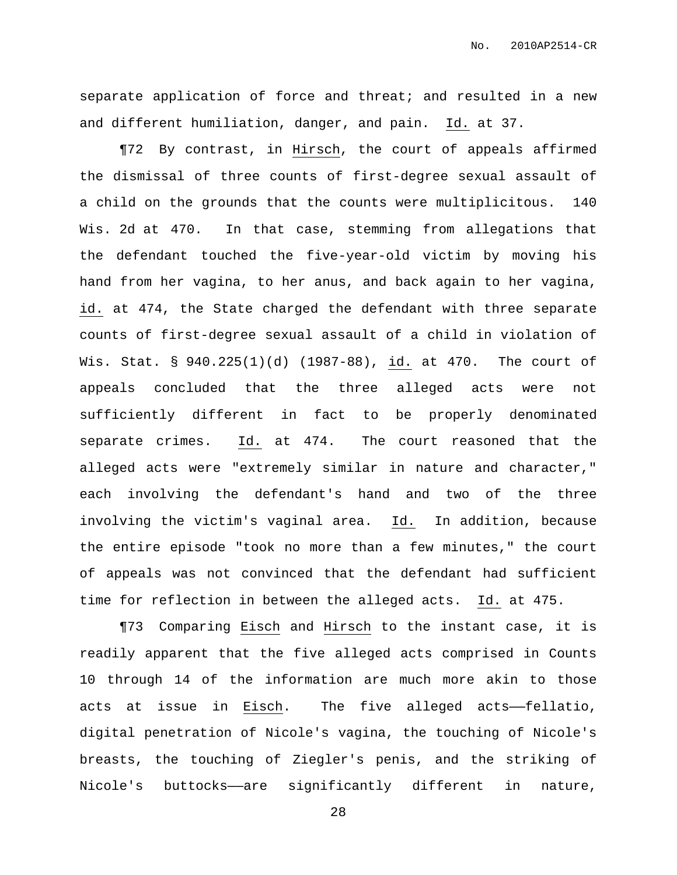separate application of force and threat; and resulted in a new and different humiliation, danger, and pain. Id. at 37.

¶72 By contrast, in Hirsch, the court of appeals affirmed the dismissal of three counts of first-degree sexual assault of a child on the grounds that the counts were multiplicitous. 140 Wis. 2d at 470. In that case, stemming from allegations that the defendant touched the five-year-old victim by moving his hand from her vagina, to her anus, and back again to her vagina, id. at 474, the State charged the defendant with three separate counts of first-degree sexual assault of a child in violation of Wis. Stat. § 940.225(1)(d) (1987-88), id. at 470. The court of appeals concluded that the three alleged acts were not sufficiently different in fact to be properly denominated separate crimes. Id. at 474. The court reasoned that the alleged acts were "extremely similar in nature and character," each involving the defendant's hand and two of the three involving the victim's vaginal area. Id. In addition, because the entire episode "took no more than a few minutes," the court of appeals was not convinced that the defendant had sufficient time for reflection in between the alleged acts. Id. at 475.

¶73 Comparing Eisch and Hirsch to the instant case, it is readily apparent that the five alleged acts comprised in Counts 10 through 14 of the information are much more akin to those acts at issue in Eisch. The five alleged acts——fellatio, digital penetration of Nicole's vagina, the touching of Nicole's breasts, the touching of Ziegler's penis, and the striking of Nicole's buttocks——are significantly different in nature,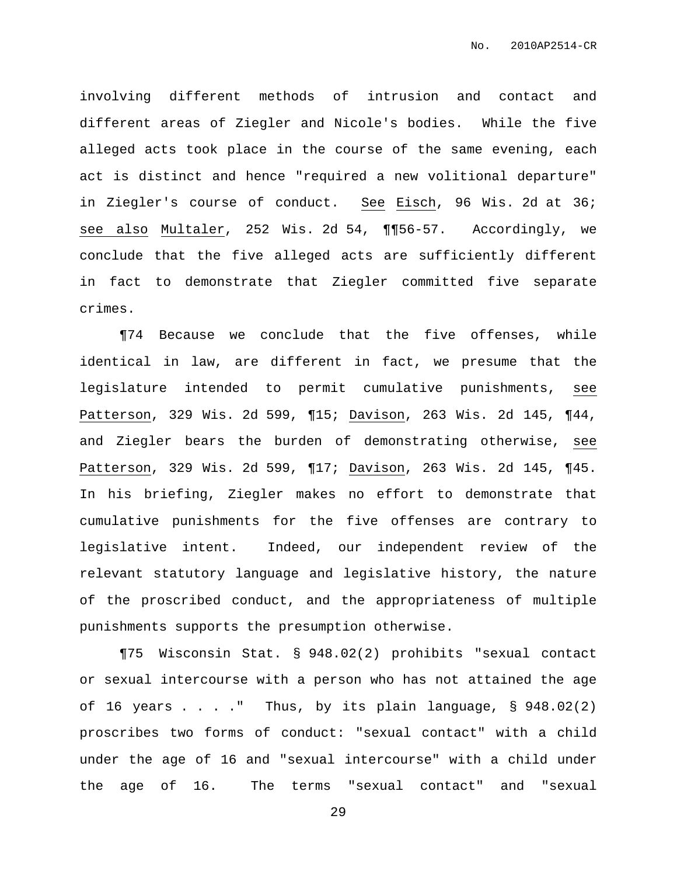involving different methods of intrusion and contact and different areas of Ziegler and Nicole's bodies. While the five alleged acts took place in the course of the same evening, each act is distinct and hence "required a new volitional departure" in Ziegler's course of conduct. See Eisch, 96 Wis. 2d at 36; see also Multaler, 252 Wis. 2d 54, ¶¶56-57. Accordingly, we conclude that the five alleged acts are sufficiently different in fact to demonstrate that Ziegler committed five separate crimes.

¶74 Because we conclude that the five offenses, while identical in law, are different in fact, we presume that the legislature intended to permit cumulative punishments, see Patterson, 329 Wis. 2d 599, ¶15; Davison, 263 Wis. 2d 145, ¶44, and Ziegler bears the burden of demonstrating otherwise, see Patterson, 329 Wis. 2d 599, ¶17; Davison, 263 Wis. 2d 145, ¶45. In his briefing, Ziegler makes no effort to demonstrate that cumulative punishments for the five offenses are contrary to legislative intent. Indeed, our independent review of the relevant statutory language and legislative history, the nature of the proscribed conduct, and the appropriateness of multiple punishments supports the presumption otherwise.

¶75 Wisconsin Stat. § 948.02(2) prohibits "sexual contact or sexual intercourse with a person who has not attained the age of 16 years  $\ldots$  ." Thus, by its plain language,  $\S$  948.02(2) proscribes two forms of conduct: "sexual contact" with a child under the age of 16 and "sexual intercourse" with a child under the age of 16. The terms "sexual contact" and "sexual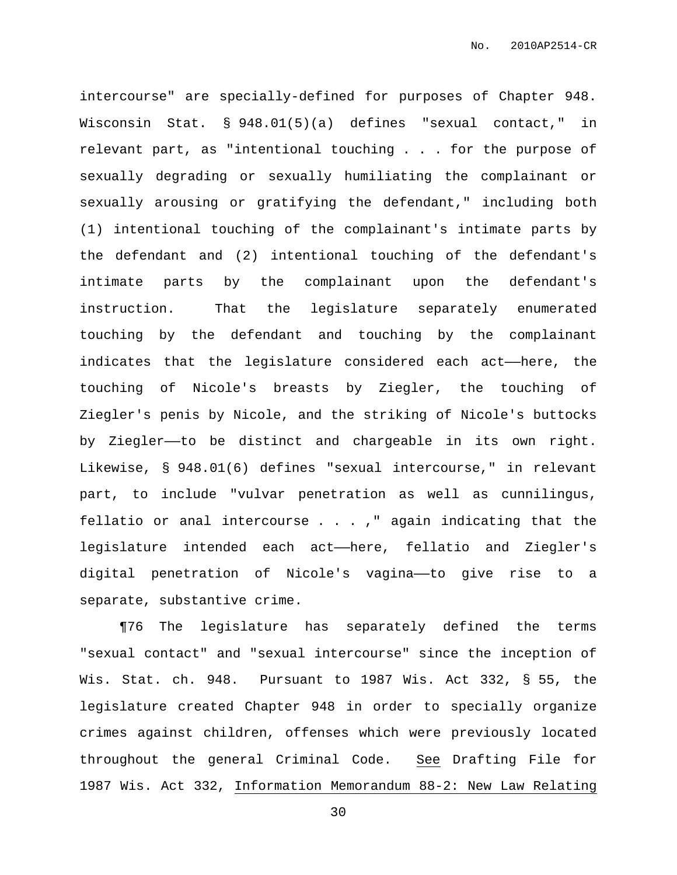intercourse" are specially-defined for purposes of Chapter 948. Wisconsin Stat. § 948.01(5)(a) defines "sexual contact," in relevant part, as "intentional touching . . . for the purpose of sexually degrading or sexually humiliating the complainant or sexually arousing or gratifying the defendant," including both (1) intentional touching of the complainant's intimate parts by the defendant and (2) intentional touching of the defendant's intimate parts by the complainant upon the defendant's instruction. That the legislature separately enumerated touching by the defendant and touching by the complainant indicates that the legislature considered each act——here, the touching of Nicole's breasts by Ziegler, the touching of Ziegler's penis by Nicole, and the striking of Nicole's buttocks by Ziegler——to be distinct and chargeable in its own right. Likewise, § 948.01(6) defines "sexual intercourse," in relevant part, to include "vulvar penetration as well as cunnilingus, fellatio or anal intercourse . . . ," again indicating that the legislature intended each act——here, fellatio and Ziegler's digital penetration of Nicole's vagina——to give rise to a separate, substantive crime.

¶76 The legislature has separately defined the terms "sexual contact" and "sexual intercourse" since the inception of Wis. Stat. ch. 948. Pursuant to 1987 Wis. Act 332, § 55, the legislature created Chapter 948 in order to specially organize crimes against children, offenses which were previously located throughout the general Criminal Code. See Drafting File for 1987 Wis. Act 332, Information Memorandum 88-2: New Law Relating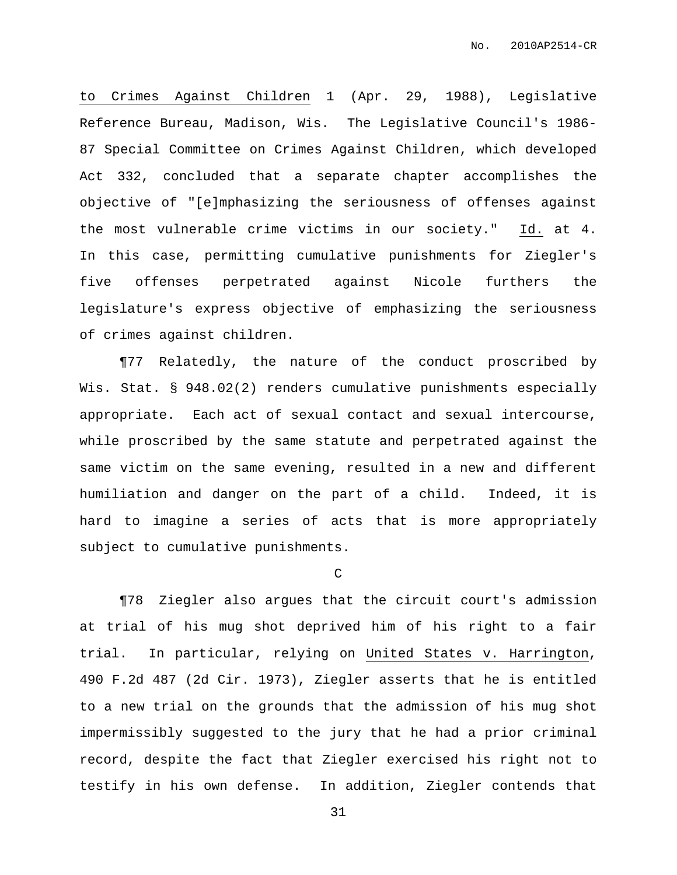to Crimes Against Children 1 (Apr. 29, 1988), Legislative Reference Bureau, Madison, Wis. The Legislative Council's 1986- 87 Special Committee on Crimes Against Children, which developed Act 332, concluded that a separate chapter accomplishes the objective of "[e]mphasizing the seriousness of offenses against the most vulnerable crime victims in our society." Id. at 4. In this case, permitting cumulative punishments for Ziegler's five offenses perpetrated against Nicole furthers the legislature's express objective of emphasizing the seriousness of crimes against children.

¶77 Relatedly, the nature of the conduct proscribed by Wis. Stat. § 948.02(2) renders cumulative punishments especially appropriate. Each act of sexual contact and sexual intercourse, while proscribed by the same statute and perpetrated against the same victim on the same evening, resulted in a new and different humiliation and danger on the part of a child. Indeed, it is hard to imagine a series of acts that is more appropriately subject to cumulative punishments.

 $\mathcal{C}$ 

¶78 Ziegler also argues that the circuit court's admission at trial of his mug shot deprived him of his right to a fair trial. In particular, relying on United States v. Harrington, 490 F.2d 487 (2d Cir. 1973), Ziegler asserts that he is entitled to a new trial on the grounds that the admission of his mug shot impermissibly suggested to the jury that he had a prior criminal record, despite the fact that Ziegler exercised his right not to testify in his own defense. In addition, Ziegler contends that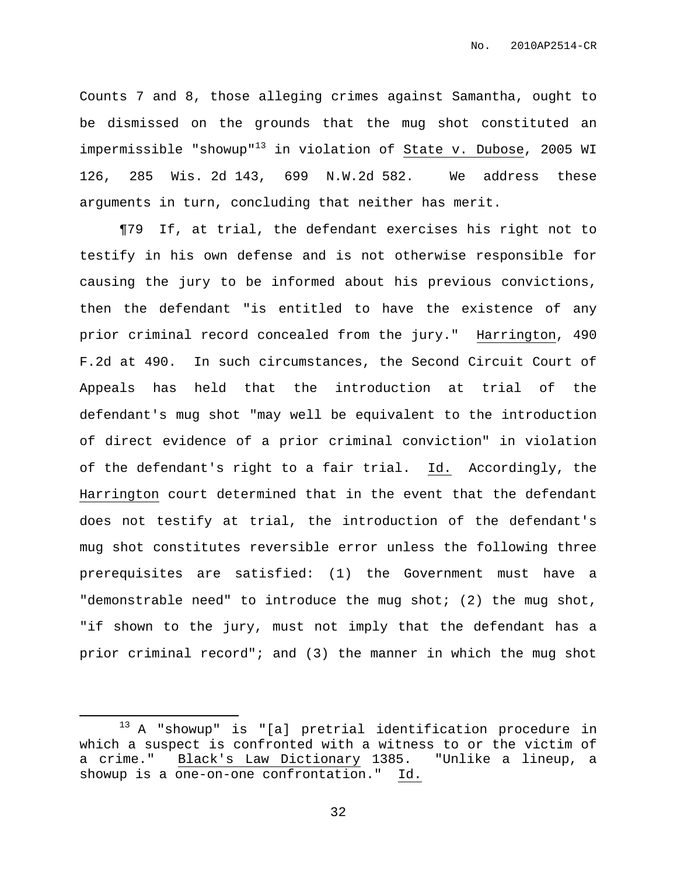Counts 7 and 8, those alleging crimes against Samantha, ought to be dismissed on the grounds that the mug shot constituted an impermissible "showup" <sup>13</sup> in violation of State v. Dubose, 2005 WI 126, 285 Wis. 2d 143, 699 N.W.2d 582. We address these arguments in turn, concluding that neither has merit.

¶79 If, at trial, the defendant exercises his right not to testify in his own defense and is not otherwise responsible for causing the jury to be informed about his previous convictions, then the defendant "is entitled to have the existence of any prior criminal record concealed from the jury." Harrington, 490 F.2d at 490. In such circumstances, the Second Circuit Court of Appeals has held that the introduction at trial of the defendant's mug shot "may well be equivalent to the introduction of direct evidence of a prior criminal conviction" in violation of the defendant's right to a fair trial. Id. Accordingly, the Harrington court determined that in the event that the defendant does not testify at trial, the introduction of the defendant's mug shot constitutes reversible error unless the following three prerequisites are satisfied: (1) the Government must have a "demonstrable need" to introduce the mug shot; (2) the mug shot, "if shown to the jury, must not imply that the defendant has a prior criminal record"; and (3) the manner in which the mug shot

<sup>&</sup>lt;sup>13</sup> A "showup" is "[a] pretrial identification procedure in which a suspect is confronted with a witness to or the victim of a crime." Black's Law Dictionary 1385. "Unlike a lineup, a showup is a one-on-one confrontation." Id.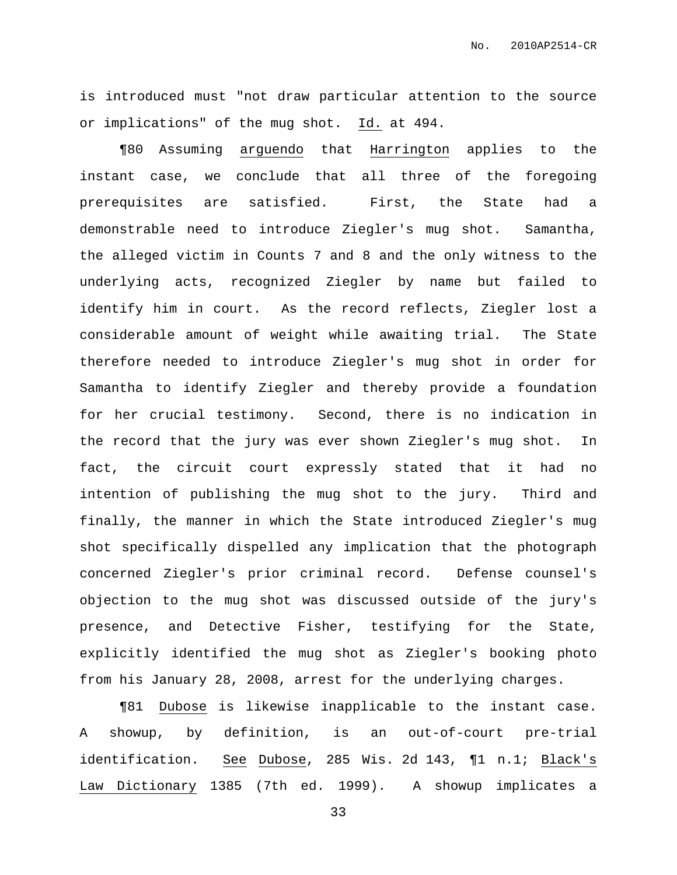is introduced must "not draw particular attention to the source or implications" of the mug shot. Id. at 494.

¶80 Assuming arguendo that Harrington applies to the instant case, we conclude that all three of the foregoing prerequisites are satisfied. First, the State had a demonstrable need to introduce Ziegler's mug shot. Samantha, the alleged victim in Counts 7 and 8 and the only witness to the underlying acts, recognized Ziegler by name but failed to identify him in court. As the record reflects, Ziegler lost a considerable amount of weight while awaiting trial. The State therefore needed to introduce Ziegler's mug shot in order for Samantha to identify Ziegler and thereby provide a foundation for her crucial testimony. Second, there is no indication in the record that the jury was ever shown Ziegler's mug shot. In fact, the circuit court expressly stated that it had no intention of publishing the mug shot to the jury. Third and finally, the manner in which the State introduced Ziegler's mug shot specifically dispelled any implication that the photograph concerned Ziegler's prior criminal record. Defense counsel's objection to the mug shot was discussed outside of the jury's presence, and Detective Fisher, testifying for the State, explicitly identified the mug shot as Ziegler's booking photo from his January 28, 2008, arrest for the underlying charges.

¶81 Dubose is likewise inapplicable to the instant case. A showup, by definition, is an out-of-court pre-trial identification. See Dubose, 285 Wis. 2d 143, ¶1 n.1; Black's Law Dictionary 1385 (7th ed. 1999). A showup implicates a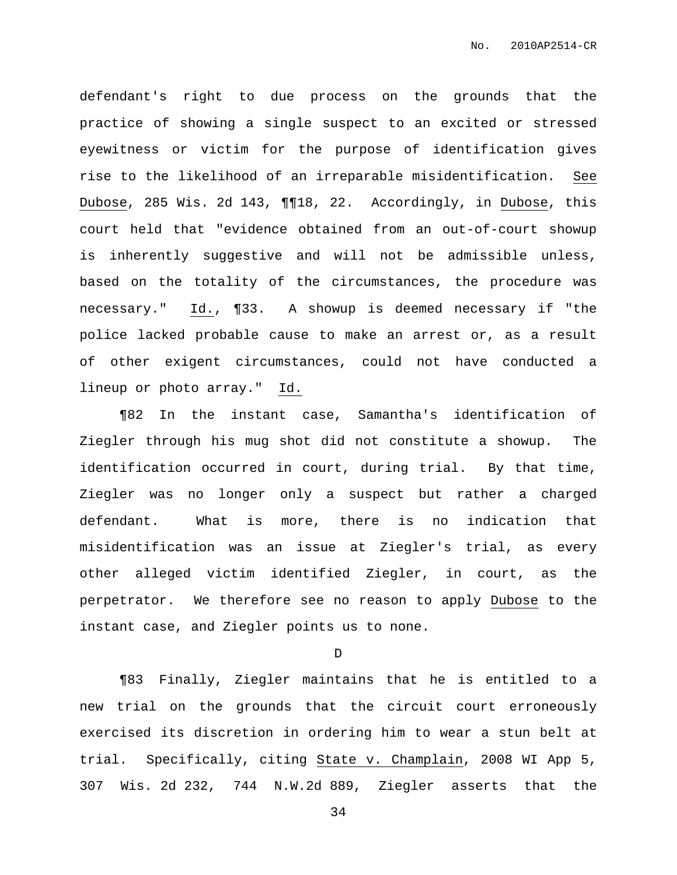defendant's right to due process on the grounds that the practice of showing a single suspect to an excited or stressed eyewitness or victim for the purpose of identification gives rise to the likelihood of an irreparable misidentification. See Dubose, 285 Wis. 2d 143, ¶¶18, 22. Accordingly, in Dubose, this court held that "evidence obtained from an out-of-court showup is inherently suggestive and will not be admissible unless, based on the totality of the circumstances, the procedure was necessary." Id., ¶33. A showup is deemed necessary if "the police lacked probable cause to make an arrest or, as a result of other exigent circumstances, could not have conducted a lineup or photo array." Id.

¶82 In the instant case, Samantha's identification of Ziegler through his mug shot did not constitute a showup. The identification occurred in court, during trial. By that time, Ziegler was no longer only a suspect but rather a charged defendant. What is more, there is no indication that misidentification was an issue at Ziegler's trial, as every other alleged victim identified Ziegler, in court, as the perpetrator. We therefore see no reason to apply Dubose to the instant case, and Ziegler points us to none.

D

¶83 Finally, Ziegler maintains that he is entitled to a new trial on the grounds that the circuit court erroneously exercised its discretion in ordering him to wear a stun belt at trial. Specifically, citing State v. Champlain, 2008 WI App 5, 307 Wis. 2d 232, 744 N.W.2d 889, Ziegler asserts that the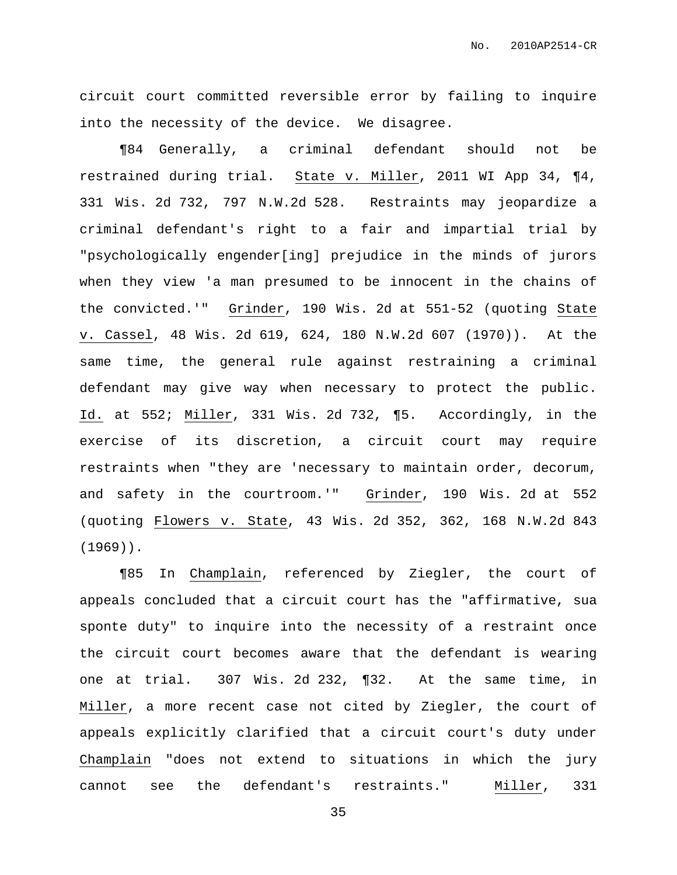circuit court committed reversible error by failing to inquire into the necessity of the device. We disagree.

¶84 Generally, a criminal defendant should not be restrained during trial. State v. Miller, 2011 WI App 34, ¶4, 331 Wis. 2d 732, 797 N.W.2d 528. Restraints may jeopardize a criminal defendant's right to a fair and impartial trial by "psychologically engender[ing] prejudice in the minds of jurors when they view 'a man presumed to be innocent in the chains of the convicted.'" Grinder, 190 Wis. 2d at 551-52 (quoting State v. Cassel, 48 Wis. 2d 619, 624, 180 N.W.2d 607 (1970)). At the same time, the general rule against restraining a criminal defendant may give way when necessary to protect the public. Id. at 552; Miller, 331 Wis. 2d 732, ¶5. Accordingly, in the exercise of its discretion, a circuit court may require restraints when "they are 'necessary to maintain order, decorum, and safety in the courtroom.'" Grinder, 190 Wis. 2d at 552 (quoting Flowers v. State, 43 Wis. 2d 352, 362, 168 N.W.2d 843 (1969)).

¶85 In Champlain, referenced by Ziegler, the court of appeals concluded that a circuit court has the "affirmative, sua sponte duty" to inquire into the necessity of a restraint once the circuit court becomes aware that the defendant is wearing one at trial. 307 Wis. 2d 232, ¶32. At the same time, in Miller, a more recent case not cited by Ziegler, the court of appeals explicitly clarified that a circuit court's duty under Champlain "does not extend to situations in which the jury cannot see the defendant's restraints." Miller, 331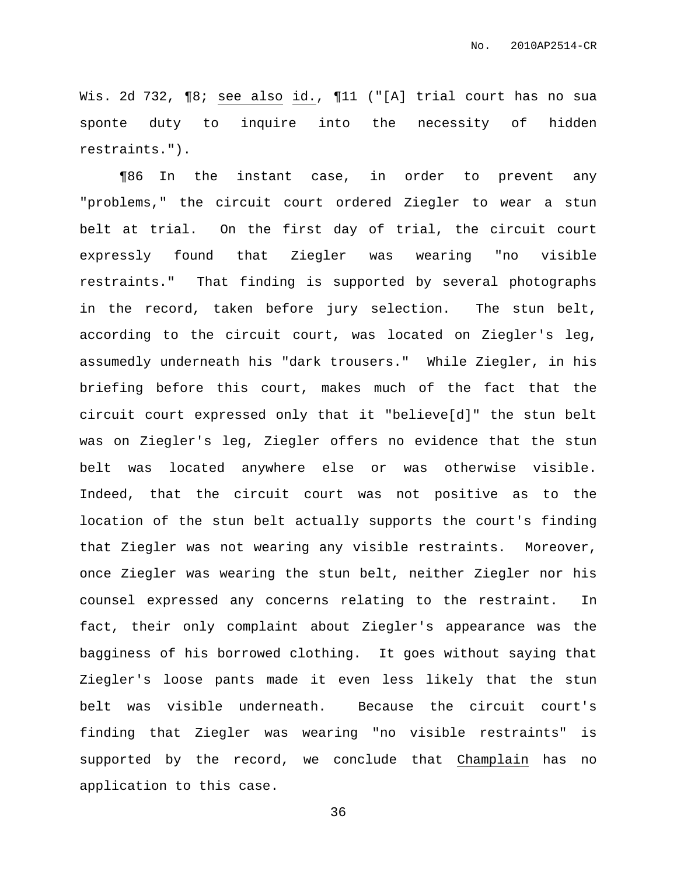Wis. 2d 732, ¶8; see also id., ¶11 ("[A] trial court has no sua sponte duty to inquire into the necessity of hidden restraints.").

¶86 In the instant case, in order to prevent any "problems," the circuit court ordered Ziegler to wear a stun belt at trial. On the first day of trial, the circuit court expressly found that Ziegler was wearing "no visible restraints." That finding is supported by several photographs in the record, taken before jury selection. The stun belt, according to the circuit court, was located on Ziegler's leg, assumedly underneath his "dark trousers." While Ziegler, in his briefing before this court, makes much of the fact that the circuit court expressed only that it "believe[d]" the stun belt was on Ziegler's leg, Ziegler offers no evidence that the stun belt was located anywhere else or was otherwise visible. Indeed, that the circuit court was not positive as to the location of the stun belt actually supports the court's finding that Ziegler was not wearing any visible restraints. Moreover, once Ziegler was wearing the stun belt, neither Ziegler nor his counsel expressed any concerns relating to the restraint. In fact, their only complaint about Ziegler's appearance was the bagginess of his borrowed clothing. It goes without saying that Ziegler's loose pants made it even less likely that the stun belt was visible underneath. Because the circuit court's finding that Ziegler was wearing "no visible restraints" is supported by the record, we conclude that Champlain has no application to this case.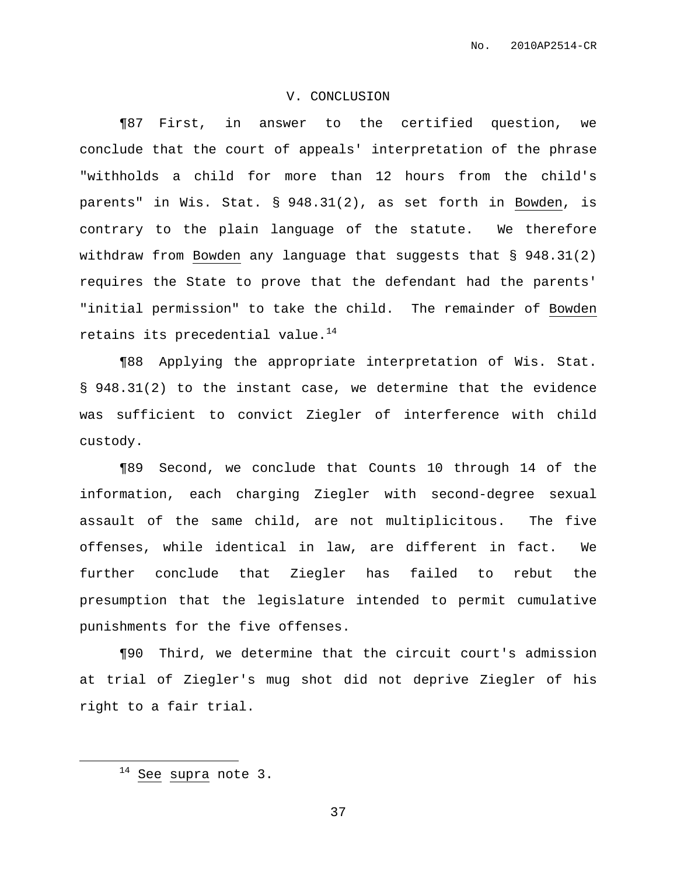# V. CONCLUSION

¶87 First, in answer to the certified question, we conclude that the court of appeals' interpretation of the phrase "withholds a child for more than 12 hours from the child's parents" in Wis. Stat. § 948.31(2), as set forth in Bowden, is contrary to the plain language of the statute. We therefore withdraw from Bowden any language that suggests that § 948.31(2) requires the State to prove that the defendant had the parents' "initial permission" to take the child. The remainder of Bowden retains its precedential value. 14

¶88 Applying the appropriate interpretation of Wis. Stat. § 948.31(2) to the instant case, we determine that the evidence was sufficient to convict Ziegler of interference with child custody.

¶89 Second, we conclude that Counts 10 through 14 of the information, each charging Ziegler with second-degree sexual assault of the same child, are not multiplicitous. The five offenses, while identical in law, are different in fact. We further conclude that Ziegler has failed to rebut the presumption that the legislature intended to permit cumulative punishments for the five offenses.

¶90 Third, we determine that the circuit court's admission at trial of Ziegler's mug shot did not deprive Ziegler of his right to a fair trial.

 $14$  See supra note 3.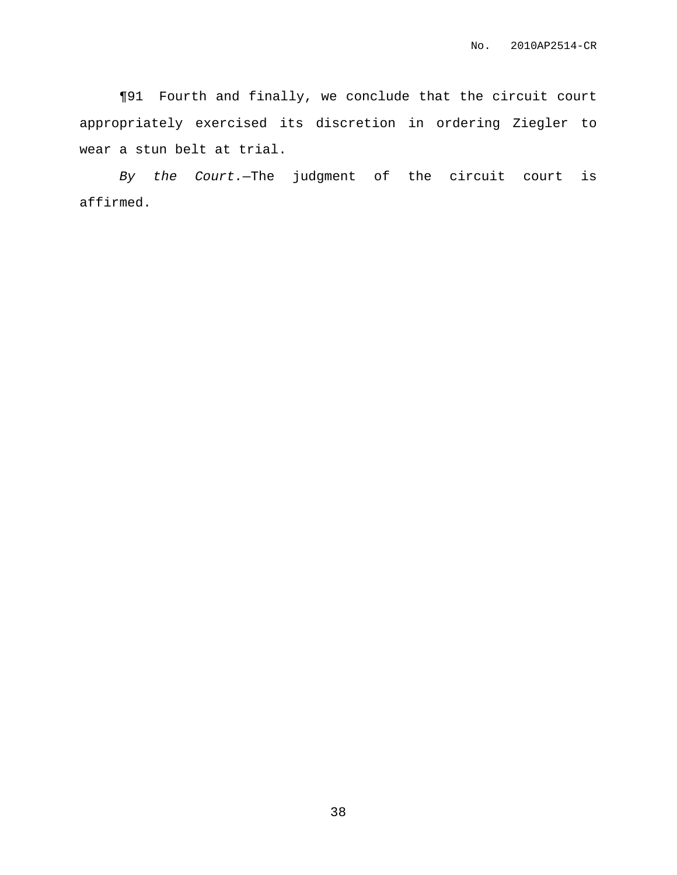¶91 Fourth and finally, we conclude that the circuit court appropriately exercised its discretion in ordering Ziegler to wear a stun belt at trial.

By the Court.—The judgment of the circuit court is affirmed.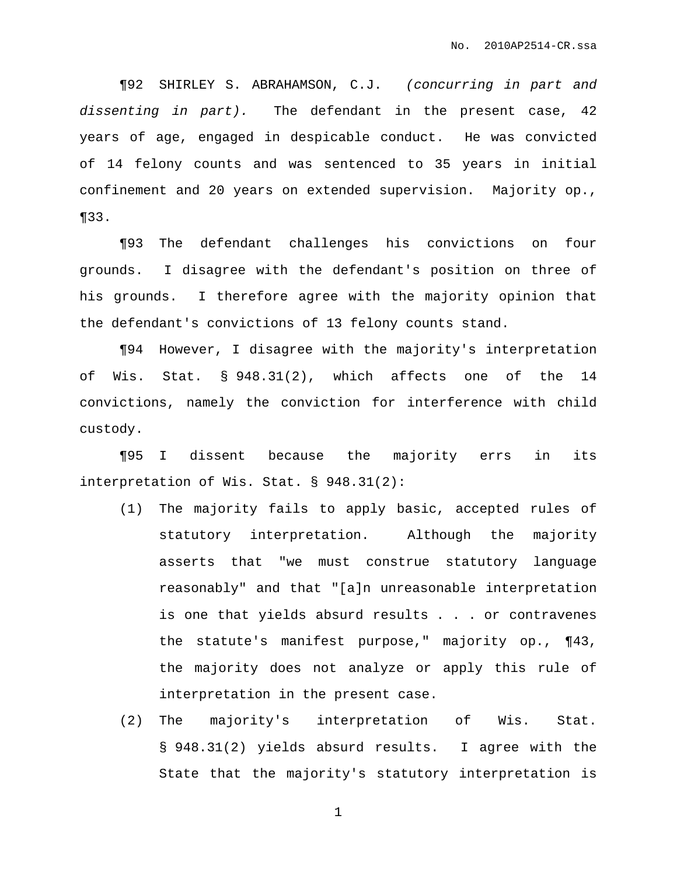¶92 SHIRLEY S. ABRAHAMSON, C.J. (concurring in part and dissenting in part). The defendant in the present case, 42 years of age, engaged in despicable conduct. He was convicted of 14 felony counts and was sentenced to 35 years in initial confinement and 20 years on extended supervision. Majority op., ¶33.

¶93 The defendant challenges his convictions on four grounds. I disagree with the defendant's position on three of his grounds. I therefore agree with the majority opinion that the defendant's convictions of 13 felony counts stand.

¶94 However, I disagree with the majority's interpretation of Wis. Stat. § 948.31(2), which affects one of the 14 convictions, namely the conviction for interference with child custody.

¶95 I dissent because the majority errs in its interpretation of Wis. Stat. § 948.31(2):

- (1) The majority fails to apply basic, accepted rules of statutory interpretation. Although the majority asserts that "we must construe statutory language reasonably" and that "[a]n unreasonable interpretation is one that yields absurd results . . . or contravenes the statute's manifest purpose," majority op., ¶43, the majority does not analyze or apply this rule of interpretation in the present case.
- (2) The majority's interpretation of Wis. Stat. § 948.31(2) yields absurd results. I agree with the State that the majority's statutory interpretation is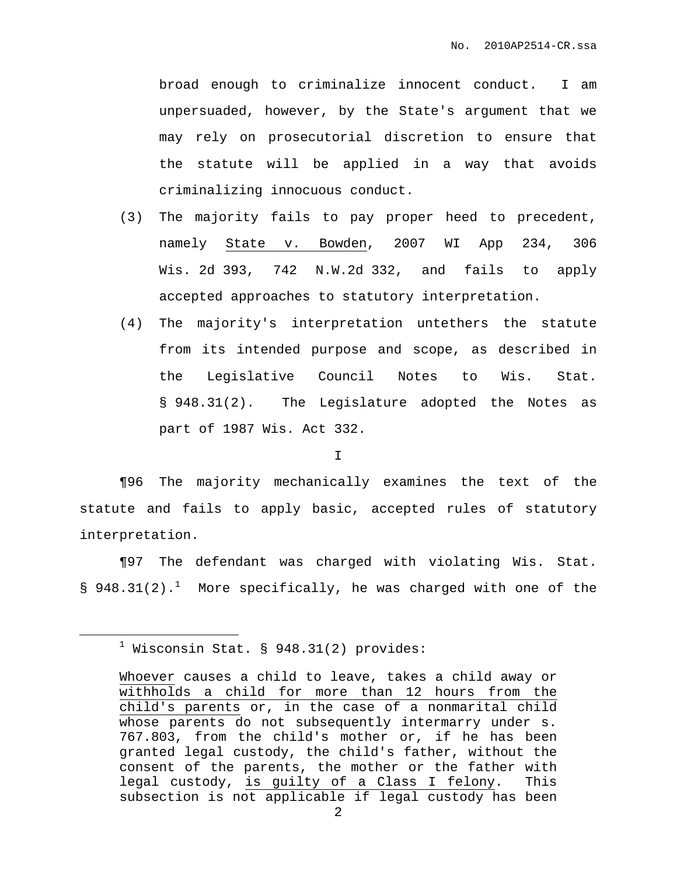broad enough to criminalize innocent conduct. I am unpersuaded, however, by the State's argument that we may rely on prosecutorial discretion to ensure that the statute will be applied in a way that avoids criminalizing innocuous conduct.

- (3) The majority fails to pay proper heed to precedent, namely State v. Bowden, 2007 WI App 234, 306 Wis. 2d 393, 742 N.W.2d 332, and fails to apply accepted approaches to statutory interpretation.
- (4) The majority's interpretation untethers the statute from its intended purpose and scope, as described in the Legislative Council Notes to Wis. Stat. § 948.31(2). The Legislature adopted the Notes as part of 1987 Wis. Act 332.

I

¶96 The majority mechanically examines the text of the statute and fails to apply basic, accepted rules of statutory interpretation.

¶97 The defendant was charged with violating Wis. Stat. § 948.31(2).<sup>1</sup> More specifically, he was charged with one of the

 $<sup>1</sup>$  Wisconsin Stat. § 948.31(2) provides:</sup>

Whoever causes a child to leave, takes a child away or withholds a child for more than 12 hours from the child's parents or, in the case of a nonmarital child whose parents do not subsequently intermarry under s. 767.803, from the child's mother or, if he has been granted legal custody, the child's father, without the consent of the parents, the mother or the father with legal custody, is guilty of a Class I felony. This subsection is not applicable if legal custody has been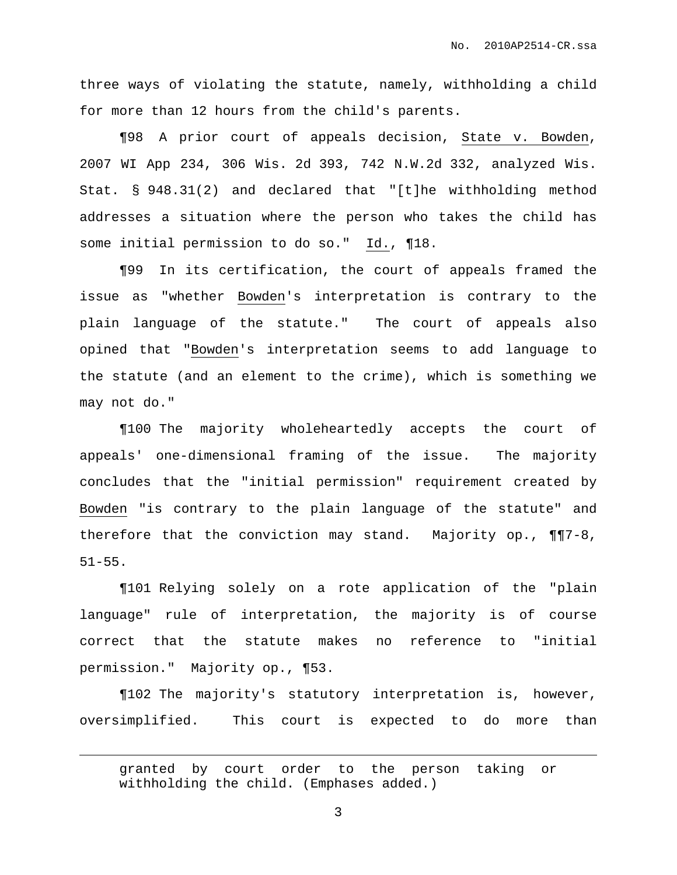three ways of violating the statute, namely, withholding a child for more than 12 hours from the child's parents.

¶98 A prior court of appeals decision, State v. Bowden, 2007 WI App 234, 306 Wis. 2d 393, 742 N.W.2d 332, analyzed Wis. Stat. § 948.31(2) and declared that "[t]he withholding method addresses a situation where the person who takes the child has some initial permission to do so." Id., ¶18.

¶99 In its certification, the court of appeals framed the issue as "whether Bowden's interpretation is contrary to the plain language of the statute." The court of appeals also opined that "Bowden's interpretation seems to add language to the statute (and an element to the crime), which is something we may not do."

¶100 The majority wholeheartedly accepts the court of appeals' one-dimensional framing of the issue. The majority concludes that the "initial permission" requirement created by Bowden "is contrary to the plain language of the statute" and therefore that the conviction may stand. Majority op., ¶¶7-8, 51-55.

¶101 Relying solely on a rote application of the "plain language" rule of interpretation, the majority is of course correct that the statute makes no reference to "initial permission." Majority op., ¶53.

¶102 The majority's statutory interpretation is, however, oversimplified. This court is expected to do more than

granted by court order to the person taking or withholding the child. (Emphases added.)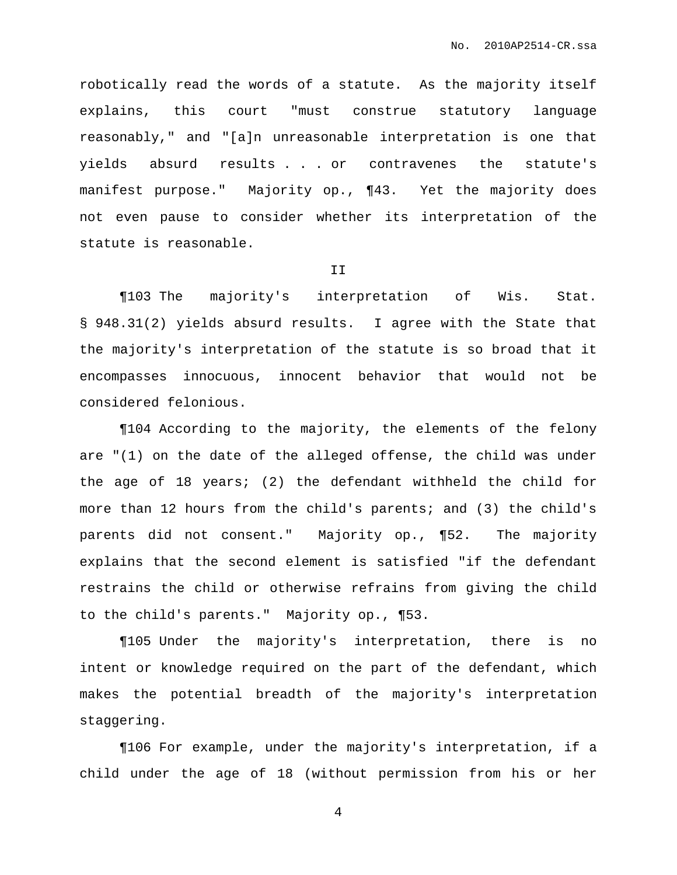robotically read the words of a statute. As the majority itself explains, this court "must construe statutory language reasonably," and "[a]n unreasonable interpretation is one that yields absurd results . . . or contravenes the statute's manifest purpose." Majority op., ¶43. Yet the majority does not even pause to consider whether its interpretation of the statute is reasonable.

#### II

¶103 The majority's interpretation of Wis. Stat. § 948.31(2) yields absurd results. I agree with the State that the majority's interpretation of the statute is so broad that it encompasses innocuous, innocent behavior that would not be considered felonious.

¶104 According to the majority, the elements of the felony are "(1) on the date of the alleged offense, the child was under the age of 18 years; (2) the defendant withheld the child for more than 12 hours from the child's parents; and (3) the child's parents did not consent." Majority op., ¶52. The majority explains that the second element is satisfied "if the defendant restrains the child or otherwise refrains from giving the child to the child's parents." Majority op., ¶53.

¶105 Under the majority's interpretation, there is no intent or knowledge required on the part of the defendant, which makes the potential breadth of the majority's interpretation staggering.

¶106 For example, under the majority's interpretation, if a child under the age of 18 (without permission from his or her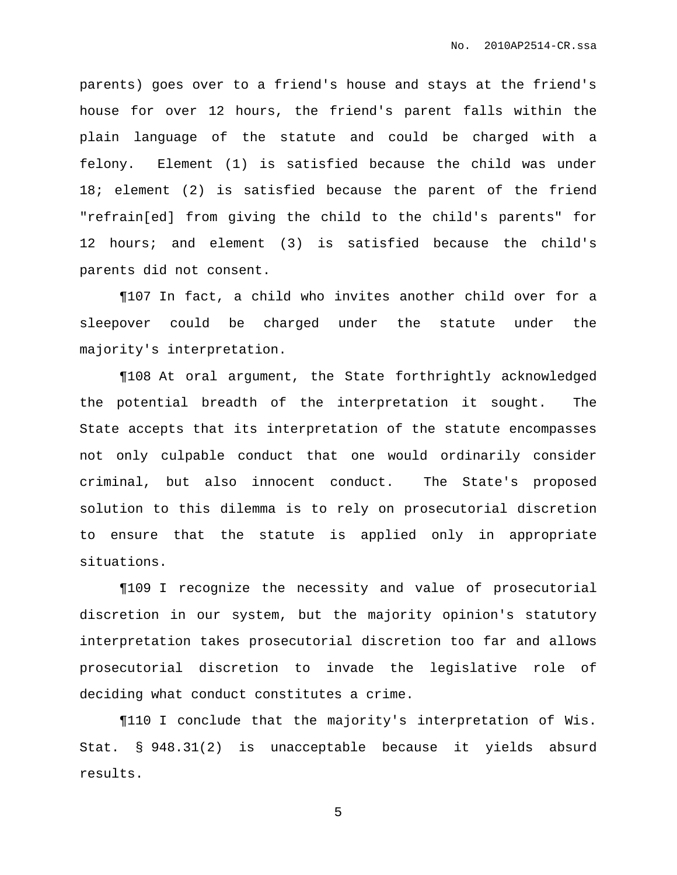parents) goes over to a friend's house and stays at the friend's house for over 12 hours, the friend's parent falls within the plain language of the statute and could be charged with a felony. Element (1) is satisfied because the child was under 18; element (2) is satisfied because the parent of the friend "refrain[ed] from giving the child to the child's parents" for 12 hours; and element (3) is satisfied because the child's parents did not consent.

¶107 In fact, a child who invites another child over for a sleepover could be charged under the statute under the majority's interpretation.

¶108 At oral argument, the State forthrightly acknowledged the potential breadth of the interpretation it sought. The State accepts that its interpretation of the statute encompasses not only culpable conduct that one would ordinarily consider criminal, but also innocent conduct. The State's proposed solution to this dilemma is to rely on prosecutorial discretion to ensure that the statute is applied only in appropriate situations.

¶109 I recognize the necessity and value of prosecutorial discretion in our system, but the majority opinion's statutory interpretation takes prosecutorial discretion too far and allows prosecutorial discretion to invade the legislative role of deciding what conduct constitutes a crime.

¶110 I conclude that the majority's interpretation of Wis. Stat. § 948.31(2) is unacceptable because it yields absurd results.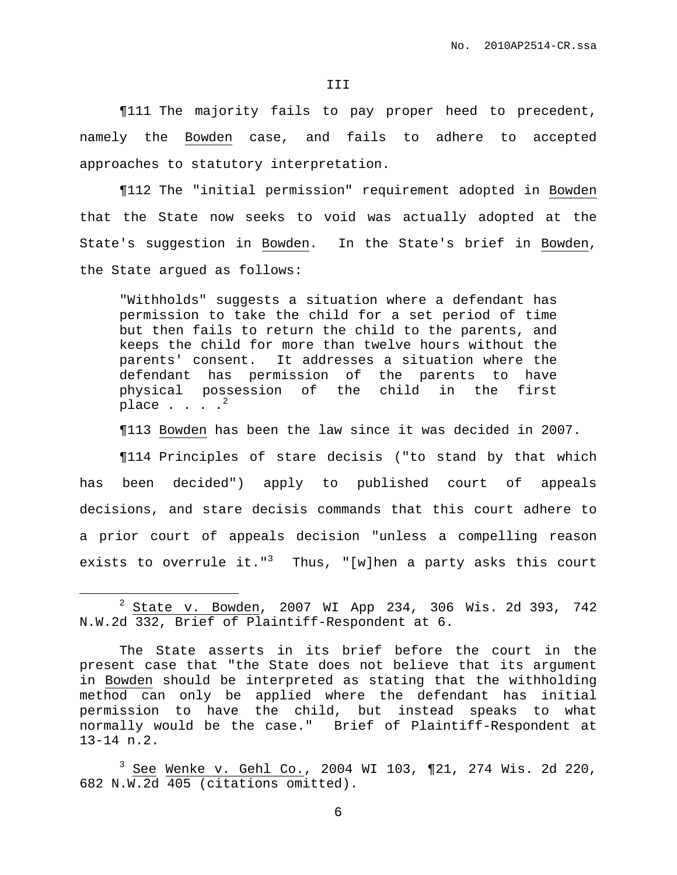#### III

¶111 The majority fails to pay proper heed to precedent, namely the Bowden case, and fails to adhere to accepted approaches to statutory interpretation.

¶112 The "initial permission" requirement adopted in Bowden that the State now seeks to void was actually adopted at the State's suggestion in Bowden. In the State's brief in Bowden, the State argued as follows:

"Withholds" suggests a situation where a defendant has permission to take the child for a set period of time but then fails to return the child to the parents, and keeps the child for more than twelve hours without the parents' consent. It addresses a situation where the defendant has permission of the parents to have physical possession of the child in the first place  $\, \cdot \,$  . . .  $^2$ 

¶113 Bowden has been the law since it was decided in 2007.

¶114 Principles of stare decisis ("to stand by that which has been decided") apply to published court of appeals decisions, and stare decisis commands that this court adhere to a prior court of appeals decision "unless a compelling reason exists to overrule it."<sup>3</sup> Thus, "[w]hen a party asks this court

<sup>2</sup> State v. Bowden, 2007 WI App 234, 306 Wis. 2d 393, 742 N.W.2d 332, Brief of Plaintiff-Respondent at 6.

The State asserts in its brief before the court in the present case that "the State does not believe that its argument in Bowden should be interpreted as stating that the withholding method can only be applied where the defendant has initial permission to have the child, but instead speaks to what normally would be the case." Brief of Plaintiff-Respondent at 13-14 n.2.

<sup>3</sup> See Wenke v. Gehl Co., 2004 WI 103, ¶21, 274 Wis. 2d 220, 682 N.W.2d 405 (citations omitted).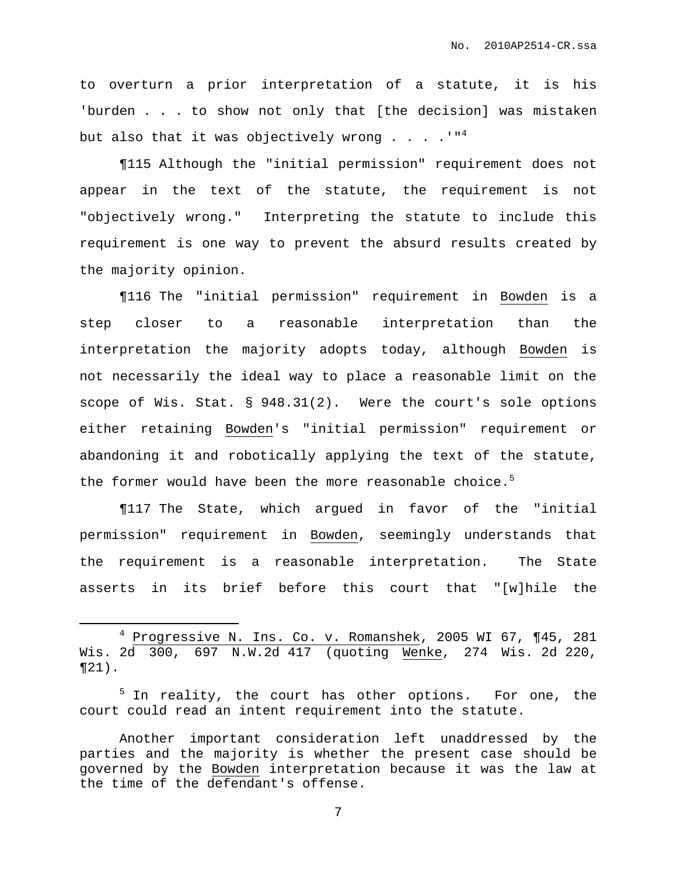to overturn a prior interpretation of a statute, it is his 'burden . . . to show not only that [the decision] was mistaken but also that it was objectively wrong  $\ldots$  . ." $^4$ 

¶115 Although the "initial permission" requirement does not appear in the text of the statute, the requirement is not "objectively wrong." Interpreting the statute to include this requirement is one way to prevent the absurd results created by the majority opinion.

¶116 The "initial permission" requirement in Bowden is a step closer to a reasonable interpretation than the interpretation the majority adopts today, although Bowden is not necessarily the ideal way to place a reasonable limit on the scope of Wis. Stat. § 948.31(2). Were the court's sole options either retaining Bowden's "initial permission" requirement or abandoning it and robotically applying the text of the statute, the former would have been the more reasonable choice.<sup>5</sup>

¶117 The State, which argued in favor of the "initial permission" requirement in Bowden, seemingly understands that the requirement is a reasonable interpretation. The State asserts in its brief before this court that "[w]hile the

<sup>4</sup> Progressive N. Ins. Co. v. Romanshek, 2005 WI 67, ¶45, 281 Wis. 2d 300, 697 N.W.2d 417 (quoting Wenke, 274 Wis. 2d 220,  $\P$ 21).

 $5$  In reality, the court has other options. For one, the court could read an intent requirement into the statute.

Another important consideration left unaddressed by the parties and the majority is whether the present case should be governed by the Bowden interpretation because it was the law at the time of the defendant's offense.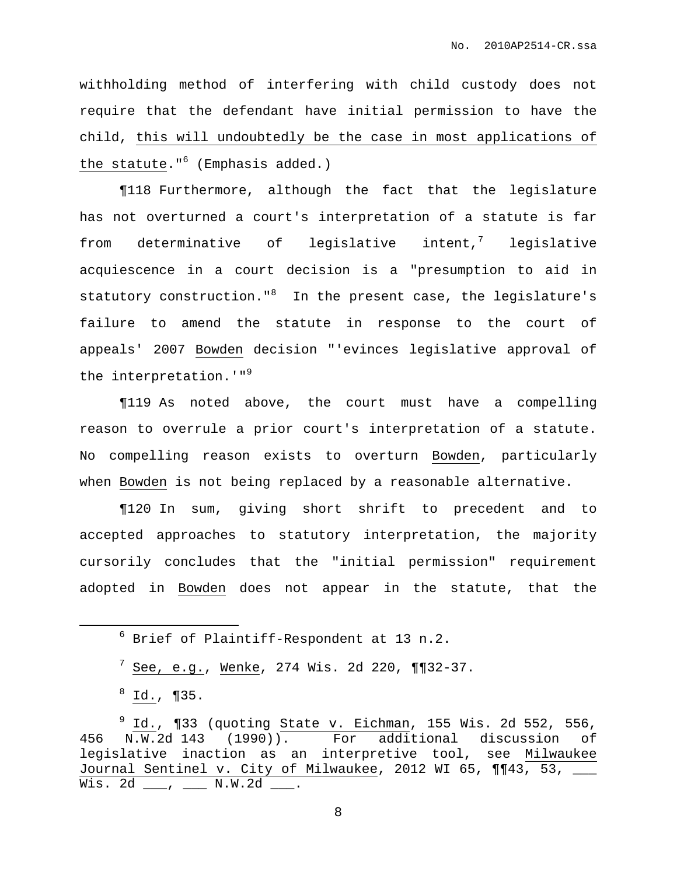withholding method of interfering with child custody does not require that the defendant have initial permission to have the child, this will undoubtedly be the case in most applications of the statute."<sup>6</sup> (Emphasis added.)

¶118 Furthermore, although the fact that the legislature has not overturned a court's interpretation of a statute is far from determinative of legislative  $int^7$  legislative acquiescence in a court decision is a "presumption to aid in statutory construction."<sup>8</sup> In the present case, the legislature's failure to amend the statute in response to the court of appeals' 2007 Bowden decision "'evinces legislative approval of the interpretation.'"<sup>9</sup>

¶119 As noted above, the court must have a compelling reason to overrule a prior court's interpretation of a statute. No compelling reason exists to overturn Bowden, particularly when Bowden is not being replaced by a reasonable alternative.

¶120 In sum, giving short shrift to precedent and to accepted approaches to statutory interpretation, the majority cursorily concludes that the "initial permission" requirement adopted in Bowden does not appear in the statute, that the

<sup>6</sup> Brief of Plaintiff-Respondent at 13 n.2.

 $\frac{7}{7}$  See, e.g., Wenke, 274 Wis. 2d 220, ¶¶32-37.

 $^8$  Id., ¶35.

 $9$  Id., ¶33 (quoting State v. Eichman, 155 Wis. 2d 552, 556, 456 N.W.2d 143 (1990)). For additional discussion of legislative inaction as an interpretive tool, see Milwaukee Journal Sentinel v. City of Milwaukee, 2012 WI 65, ¶¶43, 53, \_\_\_ Wis. 2d \_\_\_, \_\_\_ N.W.2d \_\_\_.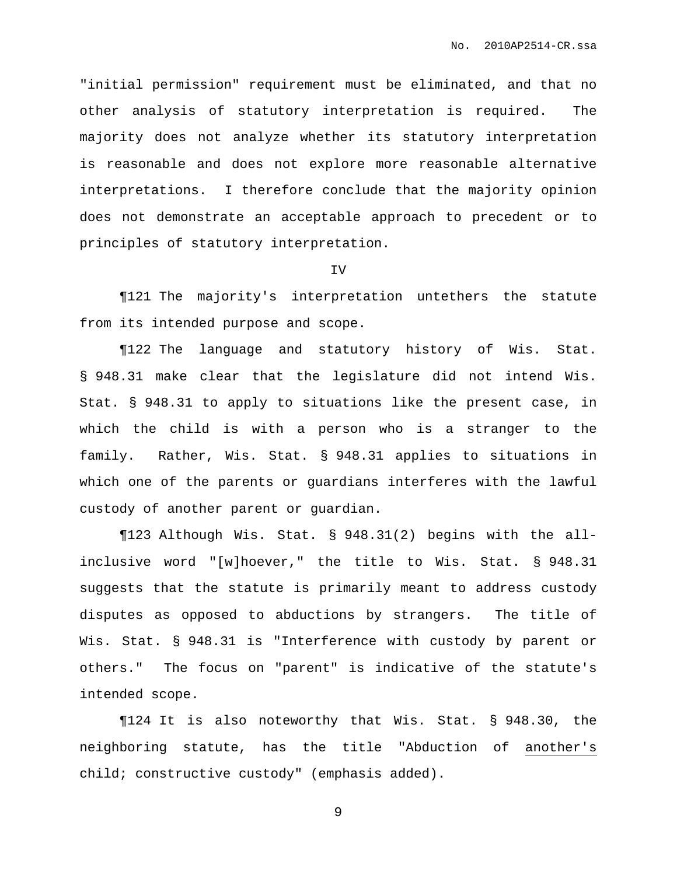"initial permission" requirement must be eliminated, and that no other analysis of statutory interpretation is required. The majority does not analyze whether its statutory interpretation is reasonable and does not explore more reasonable alternative interpretations. I therefore conclude that the majority opinion does not demonstrate an acceptable approach to precedent or to principles of statutory interpretation.

#### IV

¶121 The majority's interpretation untethers the statute from its intended purpose and scope.

¶122 The language and statutory history of Wis. Stat. § 948.31 make clear that the legislature did not intend Wis. Stat. § 948.31 to apply to situations like the present case, in which the child is with a person who is a stranger to the family. Rather, Wis. Stat. § 948.31 applies to situations in which one of the parents or guardians interferes with the lawful custody of another parent or guardian.

¶123 Although Wis. Stat. § 948.31(2) begins with the allinclusive word "[w]hoever," the title to Wis. Stat. § 948.31 suggests that the statute is primarily meant to address custody disputes as opposed to abductions by strangers. The title of Wis. Stat. § 948.31 is "Interference with custody by parent or others." The focus on "parent" is indicative of the statute's intended scope.

¶124 It is also noteworthy that Wis. Stat. § 948.30, the neighboring statute, has the title "Abduction of another's child; constructive custody" (emphasis added).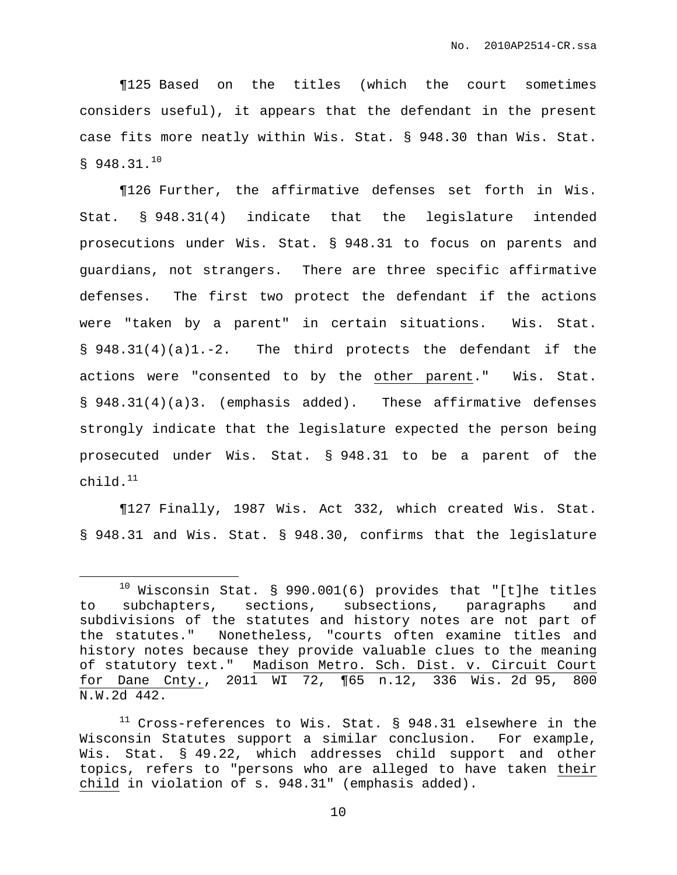¶125 Based on the titles (which the court sometimes considers useful), it appears that the defendant in the present case fits more neatly within Wis. Stat. § 948.30 than Wis. Stat.  $$948.31.<sup>10</sup>$ 

¶126 Further, the affirmative defenses set forth in Wis. Stat. § 948.31(4) indicate that the legislature intended prosecutions under Wis. Stat. § 948.31 to focus on parents and guardians, not strangers. There are three specific affirmative defenses. The first two protect the defendant if the actions were "taken by a parent" in certain situations. Wis. Stat. § 948.31(4)(a)1.-2. The third protects the defendant if the actions were "consented to by the other parent." Wis. Stat. § 948.31(4)(a)3. (emphasis added). These affirmative defenses strongly indicate that the legislature expected the person being prosecuted under Wis. Stat. § 948.31 to be a parent of the child. 11

¶127 Finally, 1987 Wis. Act 332, which created Wis. Stat. § 948.31 and Wis. Stat. § 948.30, confirms that the legislature

 $10$  Wisconsin Stat. § 990.001(6) provides that "[t]he titles to subchapters, sections, subsections, paragraphs and subdivisions of the statutes and history notes are not part of the statutes." Nonetheless, "courts often examine titles and history notes because they provide valuable clues to the meaning of statutory text." Madison Metro. Sch. Dist. v. Circuit Court for Dane Cnty., 2011 WI 72, ¶65 n.12, 336 Wis. 2d 95, 800 N.W.2d 442.

 $11$  Cross-references to Wis. Stat. § 948.31 elsewhere in the Wisconsin Statutes support a similar conclusion. For example, Wis. Stat. § 49.22, which addresses child support and other topics, refers to "persons who are alleged to have taken their child in violation of s. 948.31" (emphasis added).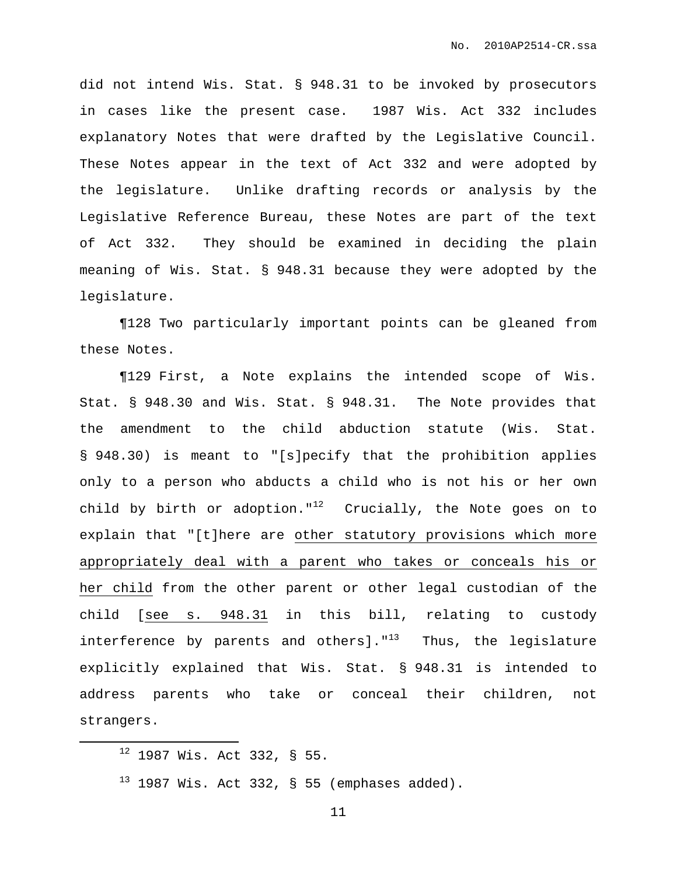did not intend Wis. Stat. § 948.31 to be invoked by prosecutors in cases like the present case. 1987 Wis. Act 332 includes explanatory Notes that were drafted by the Legislative Council. These Notes appear in the text of Act 332 and were adopted by the legislature. Unlike drafting records or analysis by the Legislative Reference Bureau, these Notes are part of the text of Act 332. They should be examined in deciding the plain meaning of Wis. Stat. § 948.31 because they were adopted by the legislature.

¶128 Two particularly important points can be gleaned from these Notes.

¶129 First, a Note explains the intended scope of Wis. Stat. § 948.30 and Wis. Stat. § 948.31. The Note provides that the amendment to the child abduction statute (Wis. Stat. § 948.30) is meant to "[s]pecify that the prohibition applies only to a person who abducts a child who is not his or her own child by birth or adoption." $^{12}$  Crucially, the Note goes on to explain that "[t]here are other statutory provisions which more appropriately deal with a parent who takes or conceals his or her child from the other parent or other legal custodian of the child [see s. 948.31 in this bill, relating to custody interference by parents and others]."<sup>13</sup> Thus, the legislature explicitly explained that Wis. Stat. § 948.31 is intended to address parents who take or conceal their children, not strangers.

 $12$  1987 Wis. Act 332, § 55.

 $13$  1987 Wis. Act 332, § 55 (emphases added).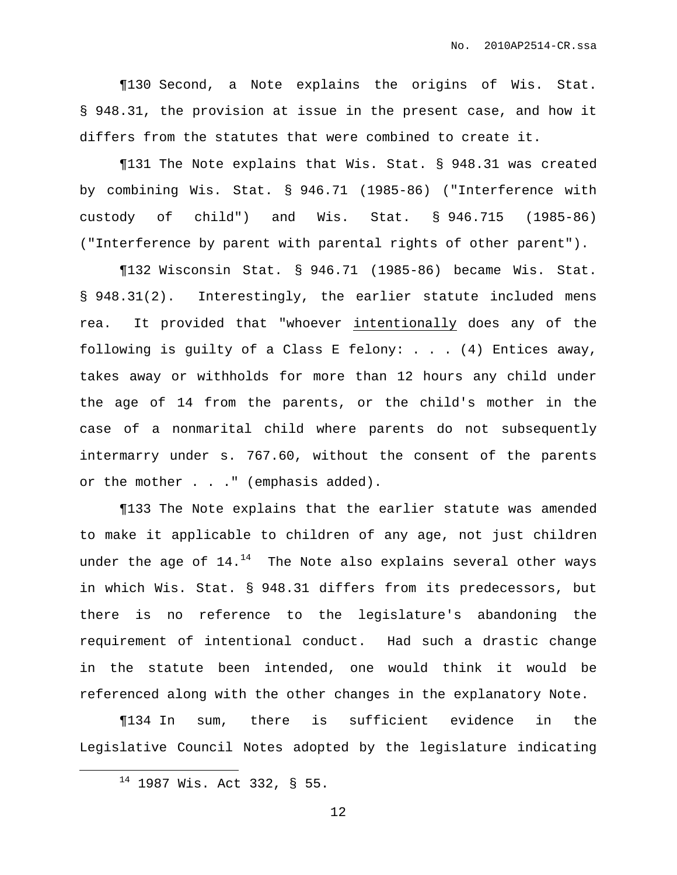¶130 Second, a Note explains the origins of Wis. Stat. § 948.31, the provision at issue in the present case, and how it differs from the statutes that were combined to create it.

¶131 The Note explains that Wis. Stat. § 948.31 was created by combining Wis. Stat. § 946.71 (1985-86) ("Interference with custody of child") and Wis. Stat. § 946.715 (1985-86) ("Interference by parent with parental rights of other parent").

¶132 Wisconsin Stat. § 946.71 (1985-86) became Wis. Stat. § 948.31(2). Interestingly, the earlier statute included mens rea. It provided that "whoever intentionally does any of the following is guilty of a Class E felony: . . . (4) Entices away, takes away or withholds for more than 12 hours any child under the age of 14 from the parents, or the child's mother in the case of a nonmarital child where parents do not subsequently intermarry under s. 767.60, without the consent of the parents or the mother . . . " (emphasis added).

¶133 The Note explains that the earlier statute was amended to make it applicable to children of any age, not just children under the age of  $14.^\text{14}$  The Note also explains several other ways in which Wis. Stat. § 948.31 differs from its predecessors, but there is no reference to the legislature's abandoning the requirement of intentional conduct. Had such a drastic change in the statute been intended, one would think it would be referenced along with the other changes in the explanatory Note.

¶134 In sum, there is sufficient evidence in the Legislative Council Notes adopted by the legislature indicating

<sup>14</sup> 1987 Wis. Act 332, § 55.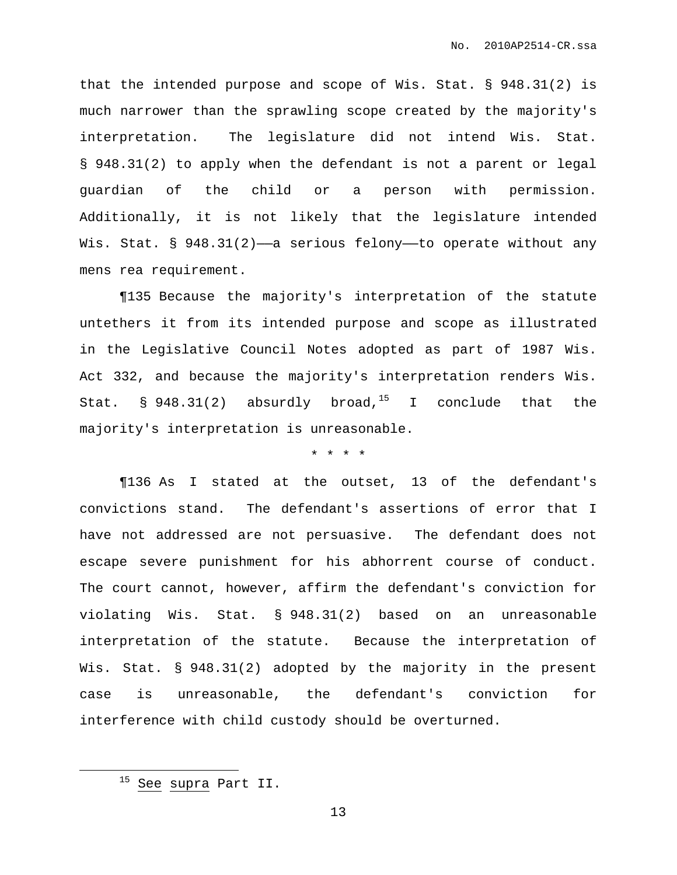that the intended purpose and scope of Wis. Stat. § 948.31(2) is much narrower than the sprawling scope created by the majority's interpretation. The legislature did not intend Wis. Stat. § 948.31(2) to apply when the defendant is not a parent or legal guardian of the child or a person with permission. Additionally, it is not likely that the legislature intended Wis. Stat. § 948.31(2)-a serious felony--to operate without any mens rea requirement.

¶135 Because the majority's interpretation of the statute untethers it from its intended purpose and scope as illustrated in the Legislative Council Notes adopted as part of 1987 Wis. Act 332, and because the majority's interpretation renders Wis. Stat. § 948.31(2) absurdly broad,<sup>15</sup> I conclude that the majority's interpretation is unreasonable.

\* \* \* \*

¶136 As I stated at the outset, 13 of the defendant's convictions stand. The defendant's assertions of error that I have not addressed are not persuasive. The defendant does not escape severe punishment for his abhorrent course of conduct. The court cannot, however, affirm the defendant's conviction for violating Wis. Stat. § 948.31(2) based on an unreasonable interpretation of the statute. Because the interpretation of Wis. Stat. § 948.31(2) adopted by the majority in the present case is unreasonable, the defendant's conviction for interference with child custody should be overturned.

<sup>&</sup>lt;sup>15</sup> See supra Part II.